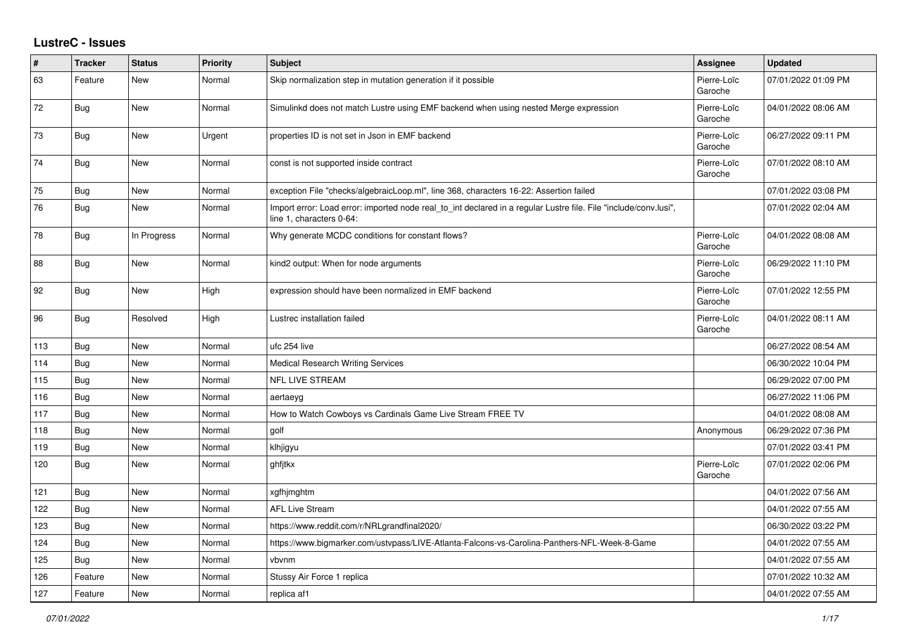## **LustreC - Issues**

| #   | <b>Tracker</b> | <b>Status</b> | <b>Priority</b> | <b>Subject</b>                                                                                                                               | <b>Assignee</b>        | <b>Updated</b>      |
|-----|----------------|---------------|-----------------|----------------------------------------------------------------------------------------------------------------------------------------------|------------------------|---------------------|
| 63  | Feature        | <b>New</b>    | Normal          | Skip normalization step in mutation generation if it possible                                                                                | Pierre-Loïc<br>Garoche | 07/01/2022 01:09 PM |
| 72  | Bug            | New           | Normal          | Simulinkd does not match Lustre using EMF backend when using nested Merge expression                                                         | Pierre-Loïc<br>Garoche | 04/01/2022 08:06 AM |
| 73  | <b>Bug</b>     | New           | Urgent          | properties ID is not set in Json in EMF backend                                                                                              | Pierre-Loïc<br>Garoche | 06/27/2022 09:11 PM |
| 74  | <b>Bug</b>     | <b>New</b>    | Normal          | const is not supported inside contract                                                                                                       | Pierre-Loïc<br>Garoche | 07/01/2022 08:10 AM |
| 75  | Bug            | <b>New</b>    | Normal          | exception File "checks/algebraicLoop.ml", line 368, characters 16-22: Assertion failed                                                       |                        | 07/01/2022 03:08 PM |
| 76  | <b>Bug</b>     | New           | Normal          | Import error: Load error: imported node real to int declared in a regular Lustre file. File "include/conv.lusi",<br>line 1, characters 0-64: |                        | 07/01/2022 02:04 AM |
| 78  | <b>Bug</b>     | In Progress   | Normal          | Why generate MCDC conditions for constant flows?                                                                                             | Pierre-Loïc<br>Garoche | 04/01/2022 08:08 AM |
| 88  | <b>Bug</b>     | New           | Normal          | kind2 output: When for node arguments                                                                                                        | Pierre-Loïc<br>Garoche | 06/29/2022 11:10 PM |
| 92  | Bug            | <b>New</b>    | High            | expression should have been normalized in EMF backend                                                                                        | Pierre-Loïc<br>Garoche | 07/01/2022 12:55 PM |
| 96  | <b>Bug</b>     | Resolved      | High            | Lustrec installation failed                                                                                                                  | Pierre-Loïc<br>Garoche | 04/01/2022 08:11 AM |
| 113 | <b>Bug</b>     | <b>New</b>    | Normal          | ufc 254 live                                                                                                                                 |                        | 06/27/2022 08:54 AM |
| 114 | <b>Bug</b>     | New           | Normal          | Medical Research Writing Services                                                                                                            |                        | 06/30/2022 10:04 PM |
| 115 | Bug            | <b>New</b>    | Normal          | NFL LIVE STREAM                                                                                                                              |                        | 06/29/2022 07:00 PM |
| 116 | Bug            | <b>New</b>    | Normal          | aertaeyg                                                                                                                                     |                        | 06/27/2022 11:06 PM |
| 117 | <b>Bug</b>     | New           | Normal          | How to Watch Cowboys vs Cardinals Game Live Stream FREE TV                                                                                   |                        | 04/01/2022 08:08 AM |
| 118 | <b>Bug</b>     | <b>New</b>    | Normal          | golf                                                                                                                                         | Anonymous              | 06/29/2022 07:36 PM |
| 119 | Bug            | <b>New</b>    | Normal          | klhjigyu                                                                                                                                     |                        | 07/01/2022 03:41 PM |
| 120 | Bug            | <b>New</b>    | Normal          | ghfjtkx                                                                                                                                      | Pierre-Loïc<br>Garoche | 07/01/2022 02:06 PM |
| 121 | <b>Bug</b>     | <b>New</b>    | Normal          | xgfhjmghtm                                                                                                                                   |                        | 04/01/2022 07:56 AM |
| 122 | Bug            | New           | Normal          | <b>AFL Live Stream</b>                                                                                                                       |                        | 04/01/2022 07:55 AM |
| 123 | Bug            | <b>New</b>    | Normal          | https://www.reddit.com/r/NRLgrandfinal2020/                                                                                                  |                        | 06/30/2022 03:22 PM |
| 124 | <b>Bug</b>     | New           | Normal          | https://www.bigmarker.com/ustvpass/LIVE-Atlanta-Falcons-vs-Carolina-Panthers-NFL-Week-8-Game                                                 |                        | 04/01/2022 07:55 AM |
| 125 | <b>Bug</b>     | New           | Normal          | vbvnm                                                                                                                                        |                        | 04/01/2022 07:55 AM |
| 126 | Feature        | <b>New</b>    | Normal          | Stussy Air Force 1 replica                                                                                                                   |                        | 07/01/2022 10:32 AM |
| 127 | Feature        | <b>New</b>    | Normal          | replica af1                                                                                                                                  |                        | 04/01/2022 07:55 AM |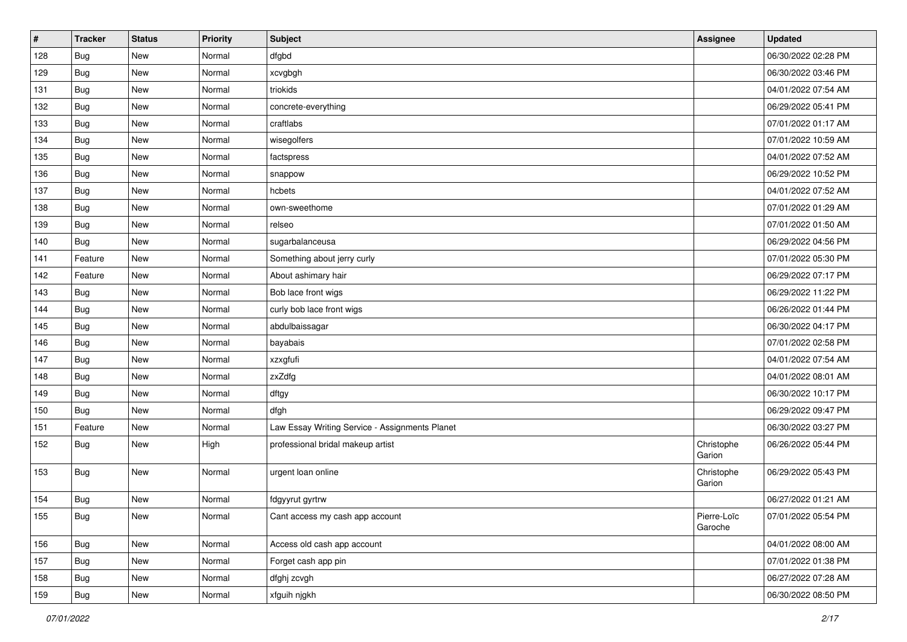| #   | <b>Tracker</b> | <b>Status</b> | Priority | <b>Subject</b>                                 | Assignee               | <b>Updated</b>      |
|-----|----------------|---------------|----------|------------------------------------------------|------------------------|---------------------|
| 128 | Bug            | New           | Normal   | dfgbd                                          |                        | 06/30/2022 02:28 PM |
| 129 | Bug            | <b>New</b>    | Normal   | xcvgbgh                                        |                        | 06/30/2022 03:46 PM |
| 131 | Bug            | New           | Normal   | triokids                                       |                        | 04/01/2022 07:54 AM |
| 132 | <b>Bug</b>     | New           | Normal   | concrete-everything                            |                        | 06/29/2022 05:41 PM |
| 133 | <b>Bug</b>     | New           | Normal   | craftlabs                                      |                        | 07/01/2022 01:17 AM |
| 134 | Bug            | <b>New</b>    | Normal   | wisegolfers                                    |                        | 07/01/2022 10:59 AM |
| 135 | Bug            | <b>New</b>    | Normal   | factspress                                     |                        | 04/01/2022 07:52 AM |
| 136 | <b>Bug</b>     | <b>New</b>    | Normal   | snappow                                        |                        | 06/29/2022 10:52 PM |
| 137 | Bug            | New           | Normal   | hcbets                                         |                        | 04/01/2022 07:52 AM |
| 138 | <b>Bug</b>     | <b>New</b>    | Normal   | own-sweethome                                  |                        | 07/01/2022 01:29 AM |
| 139 | Bug            | <b>New</b>    | Normal   | relseo                                         |                        | 07/01/2022 01:50 AM |
| 140 | Bug            | New           | Normal   | sugarbalanceusa                                |                        | 06/29/2022 04:56 PM |
| 141 | Feature        | <b>New</b>    | Normal   | Something about jerry curly                    |                        | 07/01/2022 05:30 PM |
| 142 | Feature        | <b>New</b>    | Normal   | About ashimary hair                            |                        | 06/29/2022 07:17 PM |
| 143 | Bug            | <b>New</b>    | Normal   | Bob lace front wigs                            |                        | 06/29/2022 11:22 PM |
| 144 | Bug            | New           | Normal   | curly bob lace front wigs                      |                        | 06/26/2022 01:44 PM |
| 145 | <b>Bug</b>     | New           | Normal   | abdulbaissagar                                 |                        | 06/30/2022 04:17 PM |
| 146 | <b>Bug</b>     | <b>New</b>    | Normal   | bayabais                                       |                        | 07/01/2022 02:58 PM |
| 147 | Bug            | New           | Normal   | xzxgfufi                                       |                        | 04/01/2022 07:54 AM |
| 148 | Bug            | <b>New</b>    | Normal   | zxZdfg                                         |                        | 04/01/2022 08:01 AM |
| 149 | Bug            | New           | Normal   | dftgy                                          |                        | 06/30/2022 10:17 PM |
| 150 | Bug            | <b>New</b>    | Normal   | dfgh                                           |                        | 06/29/2022 09:47 PM |
| 151 | Feature        | New           | Normal   | Law Essay Writing Service - Assignments Planet |                        | 06/30/2022 03:27 PM |
| 152 | <b>Bug</b>     | New           | High     | professional bridal makeup artist              | Christophe<br>Garion   | 06/26/2022 05:44 PM |
| 153 | <b>Bug</b>     | New           | Normal   | urgent loan online                             | Christophe<br>Garion   | 06/29/2022 05:43 PM |
| 154 | Bug            | <b>New</b>    | Normal   | fdgyyrut gyrtrw                                |                        | 06/27/2022 01:21 AM |
| 155 | Bug            | New           | Normal   | Cant access my cash app account                | Pierre-Loïc<br>Garoche | 07/01/2022 05:54 PM |
| 156 | <b>Bug</b>     | New           | Normal   | Access old cash app account                    |                        | 04/01/2022 08:00 AM |
| 157 | Bug            | New           | Normal   | Forget cash app pin                            |                        | 07/01/2022 01:38 PM |
| 158 | <b>Bug</b>     | New           | Normal   | dfghj zcvgh                                    |                        | 06/27/2022 07:28 AM |
| 159 | Bug            | New           | Normal   | xfguih njgkh                                   |                        | 06/30/2022 08:50 PM |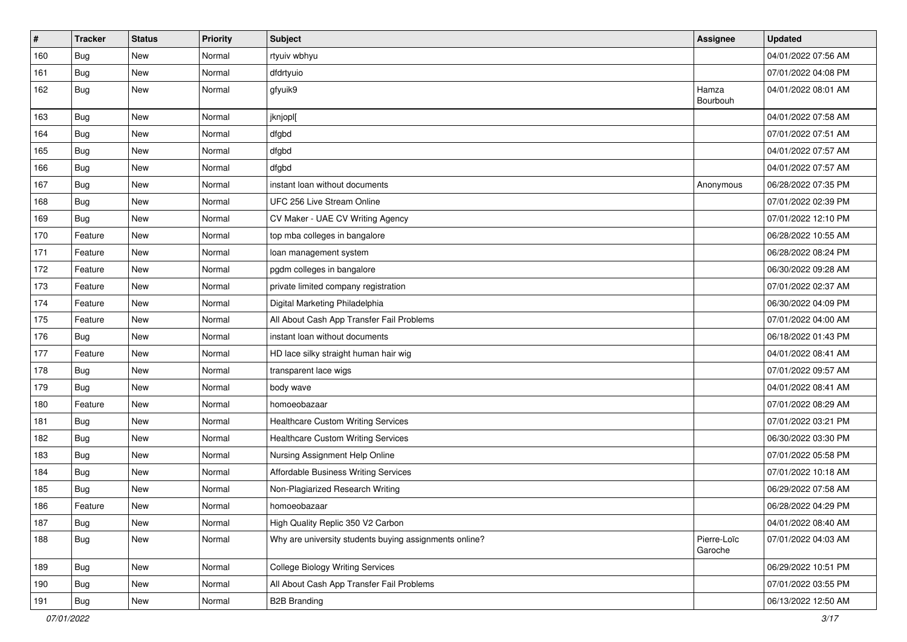| #   | <b>Tracker</b> | <b>Status</b> | <b>Priority</b> | <b>Subject</b>                                         | Assignee               | <b>Updated</b>      |
|-----|----------------|---------------|-----------------|--------------------------------------------------------|------------------------|---------------------|
| 160 | Bug            | New           | Normal          | rtyuiv wbhyu                                           |                        | 04/01/2022 07:56 AM |
| 161 | Bug            | <b>New</b>    | Normal          | dfdrtyuio                                              |                        | 07/01/2022 04:08 PM |
| 162 | <b>Bug</b>     | New           | Normal          | gfyuik9                                                | Hamza<br>Bourbouh      | 04/01/2022 08:01 AM |
| 163 | <b>Bug</b>     | <b>New</b>    | Normal          | jknjopl[                                               |                        | 04/01/2022 07:58 AM |
| 164 | <b>Bug</b>     | New           | Normal          | dfgbd                                                  |                        | 07/01/2022 07:51 AM |
| 165 | Bug            | New           | Normal          | dfgbd                                                  |                        | 04/01/2022 07:57 AM |
| 166 | Bug            | New           | Normal          | dfgbd                                                  |                        | 04/01/2022 07:57 AM |
| 167 | Bug            | New           | Normal          | instant loan without documents                         | Anonymous              | 06/28/2022 07:35 PM |
| 168 | Bug            | <b>New</b>    | Normal          | UFC 256 Live Stream Online                             |                        | 07/01/2022 02:39 PM |
| 169 | Bug            | New           | Normal          | CV Maker - UAE CV Writing Agency                       |                        | 07/01/2022 12:10 PM |
| 170 | Feature        | <b>New</b>    | Normal          | top mba colleges in bangalore                          |                        | 06/28/2022 10:55 AM |
| 171 | Feature        | New           | Normal          | loan management system                                 |                        | 06/28/2022 08:24 PM |
| 172 | Feature        | New           | Normal          | pgdm colleges in bangalore                             |                        | 06/30/2022 09:28 AM |
| 173 | Feature        | New           | Normal          | private limited company registration                   |                        | 07/01/2022 02:37 AM |
| 174 | Feature        | New           | Normal          | Digital Marketing Philadelphia                         |                        | 06/30/2022 04:09 PM |
| 175 | Feature        | New           | Normal          | All About Cash App Transfer Fail Problems              |                        | 07/01/2022 04:00 AM |
| 176 | Bug            | <b>New</b>    | Normal          | instant loan without documents                         |                        | 06/18/2022 01:43 PM |
| 177 | Feature        | New           | Normal          | HD lace silky straight human hair wig                  |                        | 04/01/2022 08:41 AM |
| 178 | Bug            | New           | Normal          | transparent lace wigs                                  |                        | 07/01/2022 09:57 AM |
| 179 | Bug            | New           | Normal          | body wave                                              |                        | 04/01/2022 08:41 AM |
| 180 | Feature        | New           | Normal          | homoeobazaar                                           |                        | 07/01/2022 08:29 AM |
| 181 | <b>Bug</b>     | New           | Normal          | <b>Healthcare Custom Writing Services</b>              |                        | 07/01/2022 03:21 PM |
| 182 | Bug            | New           | Normal          | <b>Healthcare Custom Writing Services</b>              |                        | 06/30/2022 03:30 PM |
| 183 | <b>Bug</b>     | <b>New</b>    | Normal          | Nursing Assignment Help Online                         |                        | 07/01/2022 05:58 PM |
| 184 | <b>Bug</b>     | <b>New</b>    | Normal          | <b>Affordable Business Writing Services</b>            |                        | 07/01/2022 10:18 AM |
| 185 | Bug            | New           | Normal          | Non-Plagiarized Research Writing                       |                        | 06/29/2022 07:58 AM |
| 186 | Feature        | New           | Normal          | homoeobazaar                                           |                        | 06/28/2022 04:29 PM |
| 187 | Bug            | New           | Normal          | High Quality Replic 350 V2 Carbon                      |                        | 04/01/2022 08:40 AM |
| 188 | <b>Bug</b>     | New           | Normal          | Why are university students buying assignments online? | Pierre-Loïc<br>Garoche | 07/01/2022 04:03 AM |
| 189 | Bug            | New           | Normal          | <b>College Biology Writing Services</b>                |                        | 06/29/2022 10:51 PM |
| 190 | Bug            | New           | Normal          | All About Cash App Transfer Fail Problems              |                        | 07/01/2022 03:55 PM |
| 191 | Bug            | New           | Normal          | <b>B2B Branding</b>                                    |                        | 06/13/2022 12:50 AM |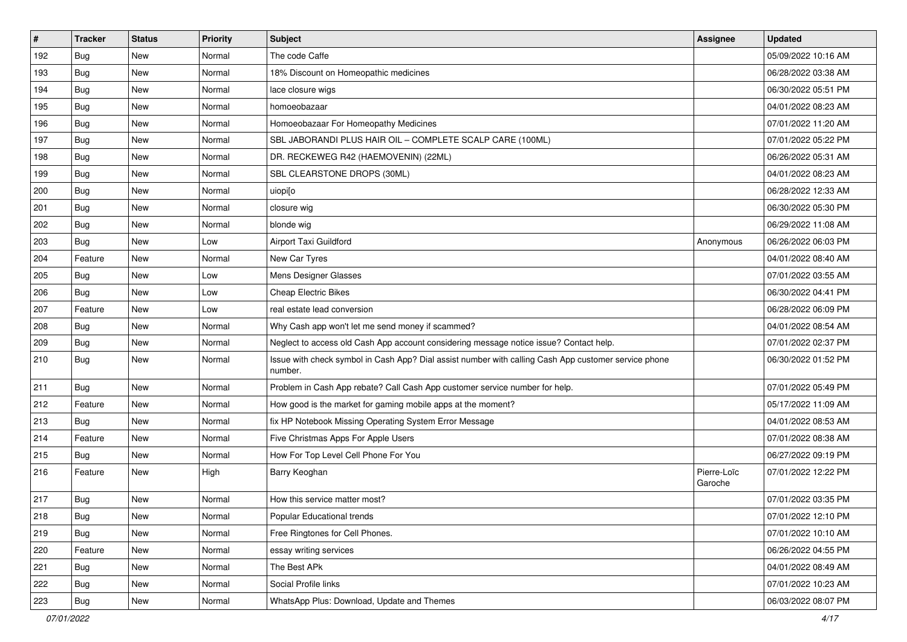| $\#$ | <b>Tracker</b> | <b>Status</b> | <b>Priority</b> | Subject                                                                                                         | <b>Assignee</b>        | <b>Updated</b>      |
|------|----------------|---------------|-----------------|-----------------------------------------------------------------------------------------------------------------|------------------------|---------------------|
| 192  | Bug            | New           | Normal          | The code Caffe                                                                                                  |                        | 05/09/2022 10:16 AM |
| 193  | <b>Bug</b>     | <b>New</b>    | Normal          | 18% Discount on Homeopathic medicines                                                                           |                        | 06/28/2022 03:38 AM |
| 194  | <b>Bug</b>     | New           | Normal          | lace closure wigs                                                                                               |                        | 06/30/2022 05:51 PM |
| 195  | Bug            | New           | Normal          | homoeobazaar                                                                                                    |                        | 04/01/2022 08:23 AM |
| 196  | <b>Bug</b>     | <b>New</b>    | Normal          | Homoeobazaar For Homeopathy Medicines                                                                           |                        | 07/01/2022 11:20 AM |
| 197  | <b>Bug</b>     | New           | Normal          | SBL JABORANDI PLUS HAIR OIL - COMPLETE SCALP CARE (100ML)                                                       |                        | 07/01/2022 05:22 PM |
| 198  | <b>Bug</b>     | <b>New</b>    | Normal          | DR. RECKEWEG R42 (HAEMOVENIN) (22ML)                                                                            |                        | 06/26/2022 05:31 AM |
| 199  | <b>Bug</b>     | New           | Normal          | SBL CLEARSTONE DROPS (30ML)                                                                                     |                        | 04/01/2022 08:23 AM |
| 200  | Bug            | New           | Normal          | uiopilo                                                                                                         |                        | 06/28/2022 12:33 AM |
| 201  | <b>Bug</b>     | New           | Normal          | closure wig                                                                                                     |                        | 06/30/2022 05:30 PM |
| 202  | <b>Bug</b>     | New           | Normal          | blonde wig                                                                                                      |                        | 06/29/2022 11:08 AM |
| 203  | Bug            | New           | Low             | Airport Taxi Guildford                                                                                          | Anonymous              | 06/26/2022 06:03 PM |
| 204  | Feature        | New           | Normal          | New Car Tyres                                                                                                   |                        | 04/01/2022 08:40 AM |
| 205  | <b>Bug</b>     | New           | Low             | Mens Designer Glasses                                                                                           |                        | 07/01/2022 03:55 AM |
| 206  | Bug            | New           | Low             | <b>Cheap Electric Bikes</b>                                                                                     |                        | 06/30/2022 04:41 PM |
| 207  | Feature        | New           | Low             | real estate lead conversion                                                                                     |                        | 06/28/2022 06:09 PM |
| 208  | Bug            | New           | Normal          | Why Cash app won't let me send money if scammed?                                                                |                        | 04/01/2022 08:54 AM |
| 209  | Bug            | New           | Normal          | Neglect to access old Cash App account considering message notice issue? Contact help.                          |                        | 07/01/2022 02:37 PM |
| 210  | Bug            | New           | Normal          | Issue with check symbol in Cash App? Dial assist number with calling Cash App customer service phone<br>number. |                        | 06/30/2022 01:52 PM |
| 211  | Bug            | New           | Normal          | Problem in Cash App rebate? Call Cash App customer service number for help.                                     |                        | 07/01/2022 05:49 PM |
| 212  | Feature        | New           | Normal          | How good is the market for gaming mobile apps at the moment?                                                    |                        | 05/17/2022 11:09 AM |
| 213  | Bug            | New           | Normal          | fix HP Notebook Missing Operating System Error Message                                                          |                        | 04/01/2022 08:53 AM |
| 214  | Feature        | New           | Normal          | Five Christmas Apps For Apple Users                                                                             |                        | 07/01/2022 08:38 AM |
| 215  | <b>Bug</b>     | New           | Normal          | How For Top Level Cell Phone For You                                                                            |                        | 06/27/2022 09:19 PM |
| 216  | Feature        | New           | High            | Barry Keoghan                                                                                                   | Pierre-Loïc<br>Garoche | 07/01/2022 12:22 PM |
| 217  | <b>Bug</b>     | <b>New</b>    | Normal          | How this service matter most?                                                                                   |                        | 07/01/2022 03:35 PM |
| 218  | Bug            | New           | Normal          | Popular Educational trends                                                                                      |                        | 07/01/2022 12:10 PM |
| 219  | Bug            | New           | Normal          | Free Ringtones for Cell Phones.                                                                                 |                        | 07/01/2022 10:10 AM |
| 220  | Feature        | New           | Normal          | essay writing services                                                                                          |                        | 06/26/2022 04:55 PM |
| 221  | Bug            | New           | Normal          | The Best APk                                                                                                    |                        | 04/01/2022 08:49 AM |
| 222  | <b>Bug</b>     | New           | Normal          | Social Profile links                                                                                            |                        | 07/01/2022 10:23 AM |
| 223  | <b>Bug</b>     | New           | Normal          | WhatsApp Plus: Download, Update and Themes                                                                      |                        | 06/03/2022 08:07 PM |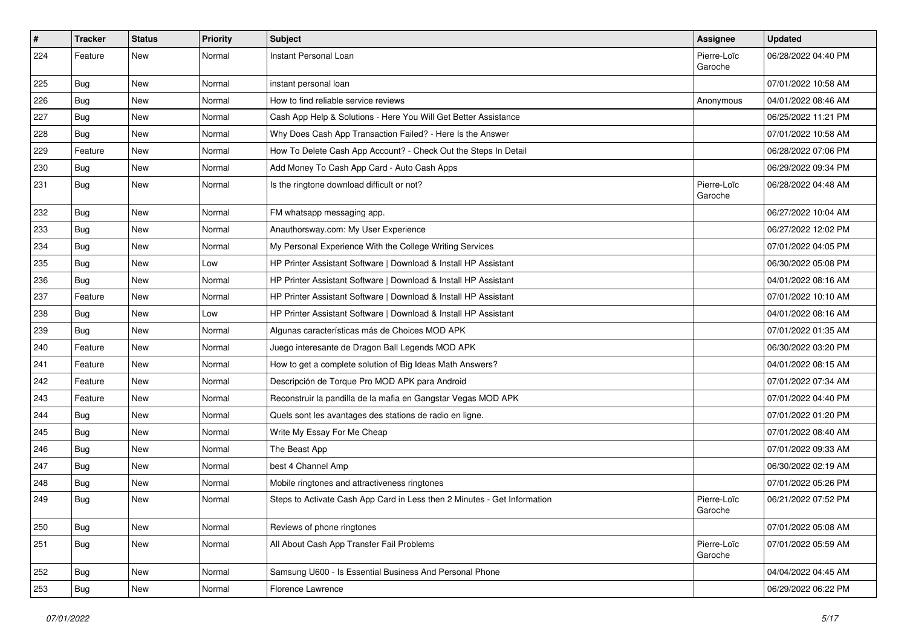| #   | <b>Tracker</b> | <b>Status</b> | <b>Priority</b> | Subject                                                                  | Assignee               | <b>Updated</b>      |
|-----|----------------|---------------|-----------------|--------------------------------------------------------------------------|------------------------|---------------------|
| 224 | Feature        | New           | Normal          | Instant Personal Loan                                                    | Pierre-Loïc<br>Garoche | 06/28/2022 04:40 PM |
| 225 | <b>Bug</b>     | <b>New</b>    | Normal          | instant personal loan                                                    |                        | 07/01/2022 10:58 AM |
| 226 | <b>Bug</b>     | <b>New</b>    | Normal          | How to find reliable service reviews                                     | Anonymous              | 04/01/2022 08:46 AM |
| 227 | <b>Bug</b>     | <b>New</b>    | Normal          | Cash App Help & Solutions - Here You Will Get Better Assistance          |                        | 06/25/2022 11:21 PM |
| 228 | Bug            | <b>New</b>    | Normal          | Why Does Cash App Transaction Failed? - Here Is the Answer               |                        | 07/01/2022 10:58 AM |
| 229 | Feature        | <b>New</b>    | Normal          | How To Delete Cash App Account? - Check Out the Steps In Detail          |                        | 06/28/2022 07:06 PM |
| 230 | Bug            | New           | Normal          | Add Money To Cash App Card - Auto Cash Apps                              |                        | 06/29/2022 09:34 PM |
| 231 | <b>Bug</b>     | New           | Normal          | Is the ringtone download difficult or not?                               | Pierre-Loïc<br>Garoche | 06/28/2022 04:48 AM |
| 232 | <b>Bug</b>     | New           | Normal          | FM whatsapp messaging app.                                               |                        | 06/27/2022 10:04 AM |
| 233 | <b>Bug</b>     | <b>New</b>    | Normal          | Anauthorsway.com: My User Experience                                     |                        | 06/27/2022 12:02 PM |
| 234 | Bug            | <b>New</b>    | Normal          | My Personal Experience With the College Writing Services                 |                        | 07/01/2022 04:05 PM |
| 235 | Bug            | <b>New</b>    | Low             | HP Printer Assistant Software   Download & Install HP Assistant          |                        | 06/30/2022 05:08 PM |
| 236 | <b>Bug</b>     | <b>New</b>    | Normal          | HP Printer Assistant Software   Download & Install HP Assistant          |                        | 04/01/2022 08:16 AM |
| 237 | Feature        | New           | Normal          | HP Printer Assistant Software   Download & Install HP Assistant          |                        | 07/01/2022 10:10 AM |
| 238 | <b>Bug</b>     | <b>New</b>    | Low             | HP Printer Assistant Software   Download & Install HP Assistant          |                        | 04/01/2022 08:16 AM |
| 239 | Bug            | <b>New</b>    | Normal          | Algunas características más de Choices MOD APK                           |                        | 07/01/2022 01:35 AM |
| 240 | Feature        | <b>New</b>    | Normal          | Juego interesante de Dragon Ball Legends MOD APK                         |                        | 06/30/2022 03:20 PM |
| 241 | Feature        | <b>New</b>    | Normal          | How to get a complete solution of Big Ideas Math Answers?                |                        | 04/01/2022 08:15 AM |
| 242 | Feature        | New           | Normal          | Descripción de Torque Pro MOD APK para Android                           |                        | 07/01/2022 07:34 AM |
| 243 | Feature        | <b>New</b>    | Normal          | Reconstruir la pandilla de la mafia en Gangstar Vegas MOD APK            |                        | 07/01/2022 04:40 PM |
| 244 | Bug            | <b>New</b>    | Normal          | Quels sont les avantages des stations de radio en ligne.                 |                        | 07/01/2022 01:20 PM |
| 245 | <b>Bug</b>     | <b>New</b>    | Normal          | Write My Essay For Me Cheap                                              |                        | 07/01/2022 08:40 AM |
| 246 | <b>Bug</b>     | <b>New</b>    | Normal          | The Beast App                                                            |                        | 07/01/2022 09:33 AM |
| 247 | <b>Bug</b>     | New           | Normal          | best 4 Channel Amp                                                       |                        | 06/30/2022 02:19 AM |
| 248 | <b>Bug</b>     | <b>New</b>    | Normal          | Mobile ringtones and attractiveness ringtones                            |                        | 07/01/2022 05:26 PM |
| 249 | <b>Bug</b>     | <b>New</b>    | Normal          | Steps to Activate Cash App Card in Less then 2 Minutes - Get Information | Pierre-Loïc<br>Garoche | 06/21/2022 07:52 PM |
| 250 | Bug            | New           | Normal          | Reviews of phone ringtones                                               |                        | 07/01/2022 05:08 AM |
| 251 | <b>Bug</b>     | New           | Normal          | All About Cash App Transfer Fail Problems                                | Pierre-Loïc<br>Garoche | 07/01/2022 05:59 AM |
| 252 | <b>Bug</b>     | New           | Normal          | Samsung U600 - Is Essential Business And Personal Phone                  |                        | 04/04/2022 04:45 AM |
| 253 | <b>Bug</b>     | New           | Normal          | Florence Lawrence                                                        |                        | 06/29/2022 06:22 PM |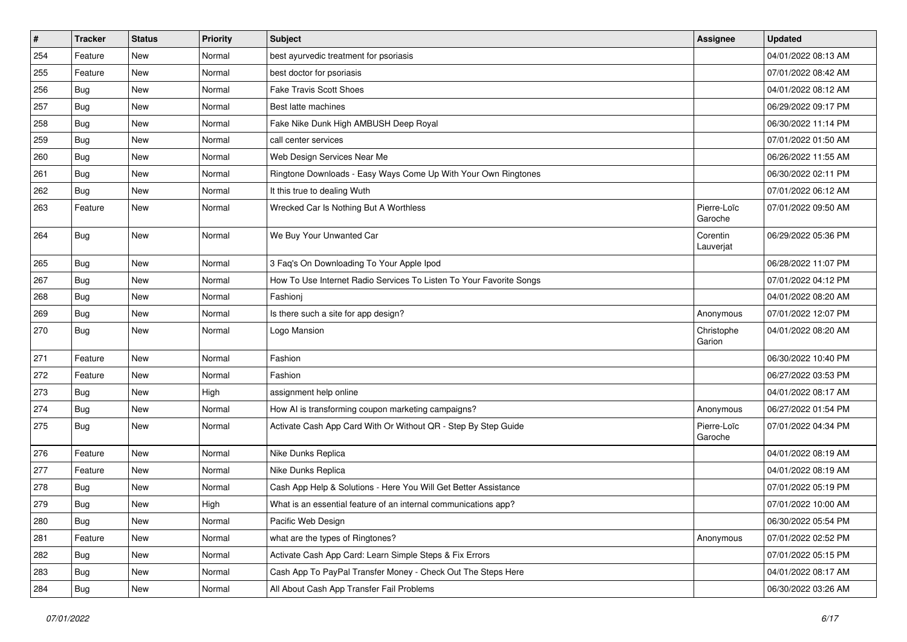| $\#$ | <b>Tracker</b> | <b>Status</b> | <b>Priority</b> | Subject                                                             | <b>Assignee</b>        | <b>Updated</b>      |
|------|----------------|---------------|-----------------|---------------------------------------------------------------------|------------------------|---------------------|
| 254  | Feature        | New           | Normal          | best ayurvedic treatment for psoriasis                              |                        | 04/01/2022 08:13 AM |
| 255  | Feature        | New           | Normal          | best doctor for psoriasis                                           |                        | 07/01/2022 08:42 AM |
| 256  | Bug            | New           | Normal          | <b>Fake Travis Scott Shoes</b>                                      |                        | 04/01/2022 08:12 AM |
| 257  | Bug            | New           | Normal          | Best latte machines                                                 |                        | 06/29/2022 09:17 PM |
| 258  | <b>Bug</b>     | New           | Normal          | Fake Nike Dunk High AMBUSH Deep Royal                               |                        | 06/30/2022 11:14 PM |
| 259  | Bug            | New           | Normal          | call center services                                                |                        | 07/01/2022 01:50 AM |
| 260  | <b>Bug</b>     | <b>New</b>    | Normal          | Web Design Services Near Me                                         |                        | 06/26/2022 11:55 AM |
| 261  | <b>Bug</b>     | New           | Normal          | Ringtone Downloads - Easy Ways Come Up With Your Own Ringtones      |                        | 06/30/2022 02:11 PM |
| 262  | Bug            | New           | Normal          | It this true to dealing Wuth                                        |                        | 07/01/2022 06:12 AM |
| 263  | Feature        | New           | Normal          | Wrecked Car Is Nothing But A Worthless                              | Pierre-Loïc<br>Garoche | 07/01/2022 09:50 AM |
| 264  | <b>Bug</b>     | New           | Normal          | We Buy Your Unwanted Car                                            | Corentin<br>Lauverjat  | 06/29/2022 05:36 PM |
| 265  | Bug            | New           | Normal          | 3 Faq's On Downloading To Your Apple Ipod                           |                        | 06/28/2022 11:07 PM |
| 267  | <b>Bug</b>     | <b>New</b>    | Normal          | How To Use Internet Radio Services To Listen To Your Favorite Songs |                        | 07/01/2022 04:12 PM |
| 268  | Bug            | New           | Normal          | Fashioni                                                            |                        | 04/01/2022 08:20 AM |
| 269  | Bug            | New           | Normal          | Is there such a site for app design?                                | Anonymous              | 07/01/2022 12:07 PM |
| 270  | <b>Bug</b>     | New           | Normal          | Logo Mansion                                                        | Christophe<br>Garion   | 04/01/2022 08:20 AM |
| 271  | Feature        | New           | Normal          | Fashion                                                             |                        | 06/30/2022 10:40 PM |
| 272  | Feature        | New           | Normal          | Fashion                                                             |                        | 06/27/2022 03:53 PM |
| 273  | Bug            | New           | High            | assignment help online                                              |                        | 04/01/2022 08:17 AM |
| 274  | Bug            | New           | Normal          | How AI is transforming coupon marketing campaigns?                  | Anonymous              | 06/27/2022 01:54 PM |
| 275  | <b>Bug</b>     | New           | Normal          | Activate Cash App Card With Or Without QR - Step By Step Guide      | Pierre-Loïc<br>Garoche | 07/01/2022 04:34 PM |
| 276  | Feature        | New           | Normal          | Nike Dunks Replica                                                  |                        | 04/01/2022 08:19 AM |
| 277  | Feature        | New           | Normal          | Nike Dunks Replica                                                  |                        | 04/01/2022 08:19 AM |
| 278  | Bug            | New           | Normal          | Cash App Help & Solutions - Here You Will Get Better Assistance     |                        | 07/01/2022 05:19 PM |
| 279  | <b>Bug</b>     | New           | High            | What is an essential feature of an internal communications app?     |                        | 07/01/2022 10:00 AM |
| 280  | <b>Bug</b>     | New           | Normal          | Pacific Web Design                                                  |                        | 06/30/2022 05:54 PM |
| 281  | Feature        | New           | Normal          | what are the types of Ringtones?                                    | Anonymous              | 07/01/2022 02:52 PM |
| 282  | <b>Bug</b>     | New           | Normal          | Activate Cash App Card: Learn Simple Steps & Fix Errors             |                        | 07/01/2022 05:15 PM |
| 283  | <b>Bug</b>     | New           | Normal          | Cash App To PayPal Transfer Money - Check Out The Steps Here        |                        | 04/01/2022 08:17 AM |
| 284  | <b>Bug</b>     | New           | Normal          | All About Cash App Transfer Fail Problems                           |                        | 06/30/2022 03:26 AM |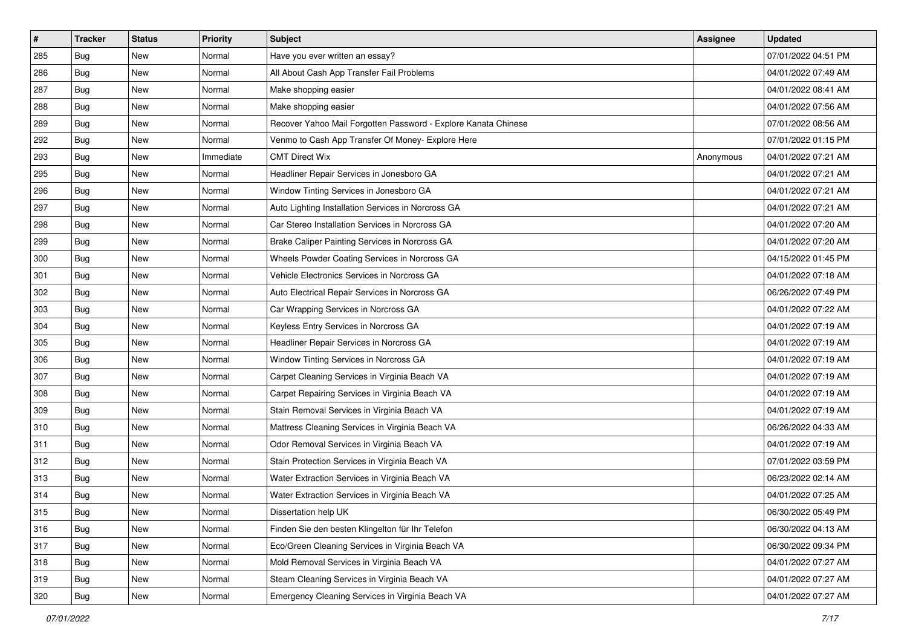| #   | <b>Tracker</b> | <b>Status</b> | <b>Priority</b> | Subject                                                        | <b>Assignee</b> | <b>Updated</b>      |
|-----|----------------|---------------|-----------------|----------------------------------------------------------------|-----------------|---------------------|
| 285 | <b>Bug</b>     | New           | Normal          | Have you ever written an essay?                                |                 | 07/01/2022 04:51 PM |
| 286 | Bug            | New           | Normal          | All About Cash App Transfer Fail Problems                      |                 | 04/01/2022 07:49 AM |
| 287 | Bug            | New           | Normal          | Make shopping easier                                           |                 | 04/01/2022 08:41 AM |
| 288 | Bug            | New           | Normal          | Make shopping easier                                           |                 | 04/01/2022 07:56 AM |
| 289 | <b>Bug</b>     | New           | Normal          | Recover Yahoo Mail Forgotten Password - Explore Kanata Chinese |                 | 07/01/2022 08:56 AM |
| 292 | Bug            | New           | Normal          | Venmo to Cash App Transfer Of Money- Explore Here              |                 | 07/01/2022 01:15 PM |
| 293 | Bug            | New           | Immediate       | <b>CMT Direct Wix</b>                                          | Anonymous       | 04/01/2022 07:21 AM |
| 295 | Bug            | New           | Normal          | Headliner Repair Services in Jonesboro GA                      |                 | 04/01/2022 07:21 AM |
| 296 | Bug            | New           | Normal          | Window Tinting Services in Jonesboro GA                        |                 | 04/01/2022 07:21 AM |
| 297 | <b>Bug</b>     | New           | Normal          | Auto Lighting Installation Services in Norcross GA             |                 | 04/01/2022 07:21 AM |
| 298 | Bug            | New           | Normal          | Car Stereo Installation Services in Norcross GA                |                 | 04/01/2022 07:20 AM |
| 299 | Bug            | New           | Normal          | Brake Caliper Painting Services in Norcross GA                 |                 | 04/01/2022 07:20 AM |
| 300 | <b>Bug</b>     | New           | Normal          | Wheels Powder Coating Services in Norcross GA                  |                 | 04/15/2022 01:45 PM |
| 301 | <b>Bug</b>     | New           | Normal          | Vehicle Electronics Services in Norcross GA                    |                 | 04/01/2022 07:18 AM |
| 302 | <b>Bug</b>     | New           | Normal          | Auto Electrical Repair Services in Norcross GA                 |                 | 06/26/2022 07:49 PM |
| 303 | Bug            | New           | Normal          | Car Wrapping Services in Norcross GA                           |                 | 04/01/2022 07:22 AM |
| 304 | Bug            | New           | Normal          | Keyless Entry Services in Norcross GA                          |                 | 04/01/2022 07:19 AM |
| 305 | <b>Bug</b>     | New           | Normal          | Headliner Repair Services in Norcross GA                       |                 | 04/01/2022 07:19 AM |
| 306 | <b>Bug</b>     | New           | Normal          | Window Tinting Services in Norcross GA                         |                 | 04/01/2022 07:19 AM |
| 307 | Bug            | New           | Normal          | Carpet Cleaning Services in Virginia Beach VA                  |                 | 04/01/2022 07:19 AM |
| 308 | Bug            | New           | Normal          | Carpet Repairing Services in Virginia Beach VA                 |                 | 04/01/2022 07:19 AM |
| 309 | Bug            | New           | Normal          | Stain Removal Services in Virginia Beach VA                    |                 | 04/01/2022 07:19 AM |
| 310 | <b>Bug</b>     | New           | Normal          | Mattress Cleaning Services in Virginia Beach VA                |                 | 06/26/2022 04:33 AM |
| 311 | <b>Bug</b>     | New           | Normal          | Odor Removal Services in Virginia Beach VA                     |                 | 04/01/2022 07:19 AM |
| 312 | Bug            | New           | Normal          | Stain Protection Services in Virginia Beach VA                 |                 | 07/01/2022 03:59 PM |
| 313 | Bug            | New           | Normal          | Water Extraction Services in Virginia Beach VA                 |                 | 06/23/2022 02:14 AM |
| 314 | Bug            | New           | Normal          | Water Extraction Services in Virginia Beach VA                 |                 | 04/01/2022 07:25 AM |
| 315 | Bug            | New           | Normal          | Dissertation help UK                                           |                 | 06/30/2022 05:49 PM |
| 316 | Bug            | New           | Normal          | Finden Sie den besten Klingelton für Ihr Telefon               |                 | 06/30/2022 04:13 AM |
| 317 | Bug            | New           | Normal          | Eco/Green Cleaning Services in Virginia Beach VA               |                 | 06/30/2022 09:34 PM |
| 318 | Bug            | New           | Normal          | Mold Removal Services in Virginia Beach VA                     |                 | 04/01/2022 07:27 AM |
| 319 | <b>Bug</b>     | New           | Normal          | Steam Cleaning Services in Virginia Beach VA                   |                 | 04/01/2022 07:27 AM |
| 320 | <b>Bug</b>     | New           | Normal          | Emergency Cleaning Services in Virginia Beach VA               |                 | 04/01/2022 07:27 AM |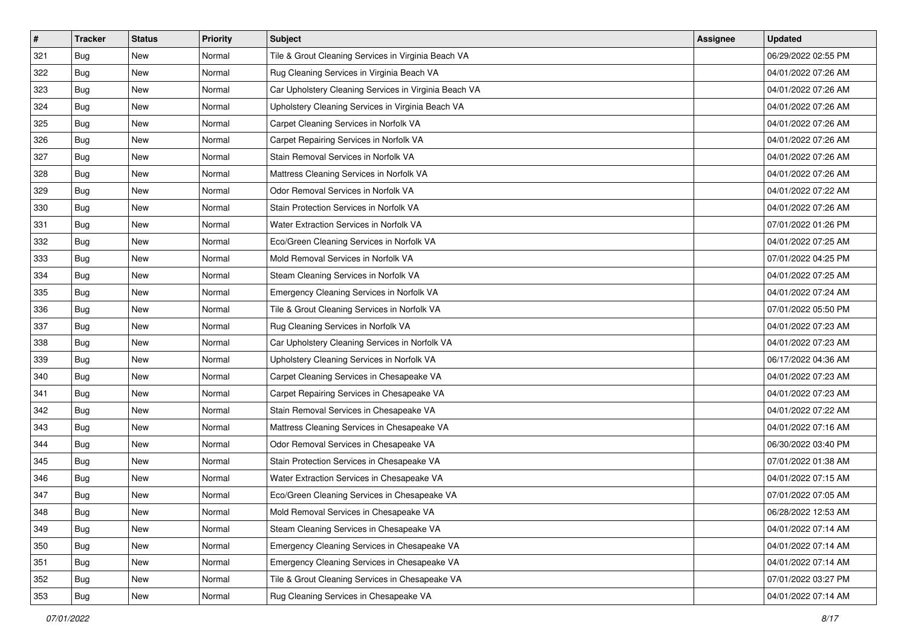| #   | <b>Tracker</b> | <b>Status</b> | <b>Priority</b> | Subject                                               | <b>Assignee</b> | <b>Updated</b>      |
|-----|----------------|---------------|-----------------|-------------------------------------------------------|-----------------|---------------------|
| 321 | <b>Bug</b>     | New           | Normal          | Tile & Grout Cleaning Services in Virginia Beach VA   |                 | 06/29/2022 02:55 PM |
| 322 | Bug            | New           | Normal          | Rug Cleaning Services in Virginia Beach VA            |                 | 04/01/2022 07:26 AM |
| 323 | Bug            | New           | Normal          | Car Upholstery Cleaning Services in Virginia Beach VA |                 | 04/01/2022 07:26 AM |
| 324 | Bug            | New           | Normal          | Upholstery Cleaning Services in Virginia Beach VA     |                 | 04/01/2022 07:26 AM |
| 325 | <b>Bug</b>     | New           | Normal          | Carpet Cleaning Services in Norfolk VA                |                 | 04/01/2022 07:26 AM |
| 326 | Bug            | New           | Normal          | Carpet Repairing Services in Norfolk VA               |                 | 04/01/2022 07:26 AM |
| 327 | Bug            | New           | Normal          | Stain Removal Services in Norfolk VA                  |                 | 04/01/2022 07:26 AM |
| 328 | Bug            | New           | Normal          | Mattress Cleaning Services in Norfolk VA              |                 | 04/01/2022 07:26 AM |
| 329 | Bug            | New           | Normal          | Odor Removal Services in Norfolk VA                   |                 | 04/01/2022 07:22 AM |
| 330 | <b>Bug</b>     | New           | Normal          | Stain Protection Services in Norfolk VA               |                 | 04/01/2022 07:26 AM |
| 331 | Bug            | New           | Normal          | Water Extraction Services in Norfolk VA               |                 | 07/01/2022 01:26 PM |
| 332 | Bug            | New           | Normal          | Eco/Green Cleaning Services in Norfolk VA             |                 | 04/01/2022 07:25 AM |
| 333 | <b>Bug</b>     | New           | Normal          | Mold Removal Services in Norfolk VA                   |                 | 07/01/2022 04:25 PM |
| 334 | <b>Bug</b>     | New           | Normal          | Steam Cleaning Services in Norfolk VA                 |                 | 04/01/2022 07:25 AM |
| 335 | <b>Bug</b>     | New           | Normal          | Emergency Cleaning Services in Norfolk VA             |                 | 04/01/2022 07:24 AM |
| 336 | Bug            | New           | Normal          | Tile & Grout Cleaning Services in Norfolk VA          |                 | 07/01/2022 05:50 PM |
| 337 | Bug            | New           | Normal          | Rug Cleaning Services in Norfolk VA                   |                 | 04/01/2022 07:23 AM |
| 338 | <b>Bug</b>     | New           | Normal          | Car Upholstery Cleaning Services in Norfolk VA        |                 | 04/01/2022 07:23 AM |
| 339 | <b>Bug</b>     | New           | Normal          | Upholstery Cleaning Services in Norfolk VA            |                 | 06/17/2022 04:36 AM |
| 340 | Bug            | New           | Normal          | Carpet Cleaning Services in Chesapeake VA             |                 | 04/01/2022 07:23 AM |
| 341 | <b>Bug</b>     | New           | Normal          | Carpet Repairing Services in Chesapeake VA            |                 | 04/01/2022 07:23 AM |
| 342 | <b>Bug</b>     | New           | Normal          | Stain Removal Services in Chesapeake VA               |                 | 04/01/2022 07:22 AM |
| 343 | <b>Bug</b>     | New           | Normal          | Mattress Cleaning Services in Chesapeake VA           |                 | 04/01/2022 07:16 AM |
| 344 | <b>Bug</b>     | New           | Normal          | Odor Removal Services in Chesapeake VA                |                 | 06/30/2022 03:40 PM |
| 345 | Bug            | New           | Normal          | Stain Protection Services in Chesapeake VA            |                 | 07/01/2022 01:38 AM |
| 346 | Bug            | New           | Normal          | Water Extraction Services in Chesapeake VA            |                 | 04/01/2022 07:15 AM |
| 347 | Bug            | New           | Normal          | Eco/Green Cleaning Services in Chesapeake VA          |                 | 07/01/2022 07:05 AM |
| 348 | <b>Bug</b>     | New           | Normal          | Mold Removal Services in Chesapeake VA                |                 | 06/28/2022 12:53 AM |
| 349 | Bug            | New           | Normal          | Steam Cleaning Services in Chesapeake VA              |                 | 04/01/2022 07:14 AM |
| 350 | Bug            | New           | Normal          | Emergency Cleaning Services in Chesapeake VA          |                 | 04/01/2022 07:14 AM |
| 351 | Bug            | New           | Normal          | Emergency Cleaning Services in Chesapeake VA          |                 | 04/01/2022 07:14 AM |
| 352 | <b>Bug</b>     | New           | Normal          | Tile & Grout Cleaning Services in Chesapeake VA       |                 | 07/01/2022 03:27 PM |
| 353 | <b>Bug</b>     | New           | Normal          | Rug Cleaning Services in Chesapeake VA                |                 | 04/01/2022 07:14 AM |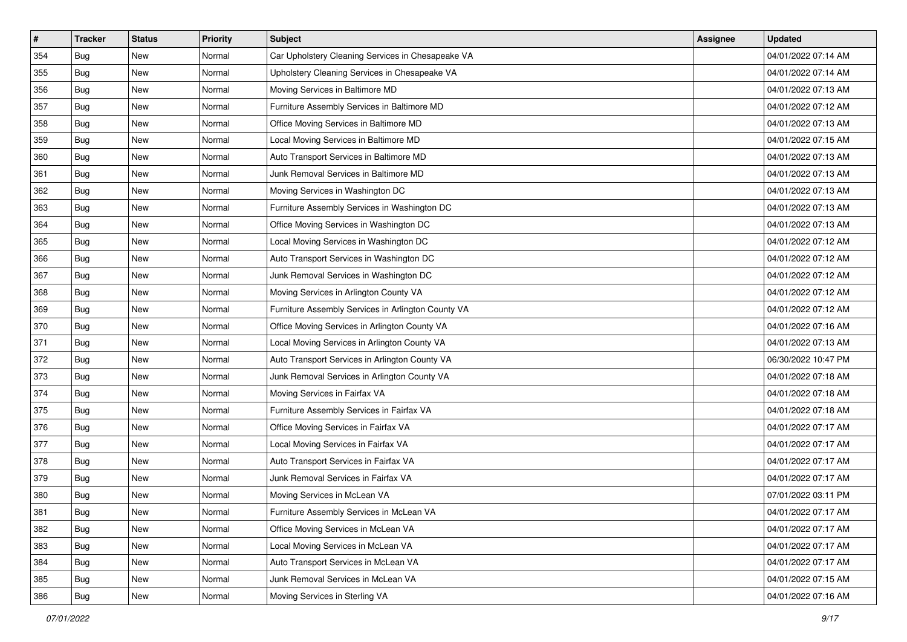| $\#$ | <b>Tracker</b> | <b>Status</b> | <b>Priority</b> | Subject                                            | Assignee | <b>Updated</b>      |
|------|----------------|---------------|-----------------|----------------------------------------------------|----------|---------------------|
| 354  | Bug            | New           | Normal          | Car Upholstery Cleaning Services in Chesapeake VA  |          | 04/01/2022 07:14 AM |
| 355  | Bug            | New           | Normal          | Upholstery Cleaning Services in Chesapeake VA      |          | 04/01/2022 07:14 AM |
| 356  | Bug            | New           | Normal          | Moving Services in Baltimore MD                    |          | 04/01/2022 07:13 AM |
| 357  | Bug            | New           | Normal          | Furniture Assembly Services in Baltimore MD        |          | 04/01/2022 07:12 AM |
| 358  | <b>Bug</b>     | New           | Normal          | Office Moving Services in Baltimore MD             |          | 04/01/2022 07:13 AM |
| 359  | Bug            | New           | Normal          | Local Moving Services in Baltimore MD              |          | 04/01/2022 07:15 AM |
| 360  | Bug            | New           | Normal          | Auto Transport Services in Baltimore MD            |          | 04/01/2022 07:13 AM |
| 361  | Bug            | New           | Normal          | Junk Removal Services in Baltimore MD              |          | 04/01/2022 07:13 AM |
| 362  | Bug            | New           | Normal          | Moving Services in Washington DC                   |          | 04/01/2022 07:13 AM |
| 363  | Bug            | New           | Normal          | Furniture Assembly Services in Washington DC       |          | 04/01/2022 07:13 AM |
| 364  | Bug            | New           | Normal          | Office Moving Services in Washington DC            |          | 04/01/2022 07:13 AM |
| 365  | Bug            | New           | Normal          | Local Moving Services in Washington DC             |          | 04/01/2022 07:12 AM |
| 366  | Bug            | New           | Normal          | Auto Transport Services in Washington DC           |          | 04/01/2022 07:12 AM |
| 367  | Bug            | New           | Normal          | Junk Removal Services in Washington DC             |          | 04/01/2022 07:12 AM |
| 368  | <b>Bug</b>     | New           | Normal          | Moving Services in Arlington County VA             |          | 04/01/2022 07:12 AM |
| 369  | Bug            | New           | Normal          | Furniture Assembly Services in Arlington County VA |          | 04/01/2022 07:12 AM |
| 370  | Bug            | New           | Normal          | Office Moving Services in Arlington County VA      |          | 04/01/2022 07:16 AM |
| 371  | <b>Bug</b>     | New           | Normal          | Local Moving Services in Arlington County VA       |          | 04/01/2022 07:13 AM |
| 372  | Bug            | New           | Normal          | Auto Transport Services in Arlington County VA     |          | 06/30/2022 10:47 PM |
| 373  | Bug            | New           | Normal          | Junk Removal Services in Arlington County VA       |          | 04/01/2022 07:18 AM |
| 374  | Bug            | New           | Normal          | Moving Services in Fairfax VA                      |          | 04/01/2022 07:18 AM |
| 375  | Bug            | New           | Normal          | Furniture Assembly Services in Fairfax VA          |          | 04/01/2022 07:18 AM |
| 376  | <b>Bug</b>     | New           | Normal          | Office Moving Services in Fairfax VA               |          | 04/01/2022 07:17 AM |
| 377  | Bug            | New           | Normal          | Local Moving Services in Fairfax VA                |          | 04/01/2022 07:17 AM |
| 378  | Bug            | New           | Normal          | Auto Transport Services in Fairfax VA              |          | 04/01/2022 07:17 AM |
| 379  | Bug            | New           | Normal          | Junk Removal Services in Fairfax VA                |          | 04/01/2022 07:17 AM |
| 380  | <b>Bug</b>     | New           | Normal          | Moving Services in McLean VA                       |          | 07/01/2022 03:11 PM |
| 381  | <b>Bug</b>     | New           | Normal          | Furniture Assembly Services in McLean VA           |          | 04/01/2022 07:17 AM |
| 382  | Bug            | New           | Normal          | Office Moving Services in McLean VA                |          | 04/01/2022 07:17 AM |
| 383  | Bug            | New           | Normal          | Local Moving Services in McLean VA                 |          | 04/01/2022 07:17 AM |
| 384  | Bug            | New           | Normal          | Auto Transport Services in McLean VA               |          | 04/01/2022 07:17 AM |
| 385  | <b>Bug</b>     | New           | Normal          | Junk Removal Services in McLean VA                 |          | 04/01/2022 07:15 AM |
| 386  | <b>Bug</b>     | New           | Normal          | Moving Services in Sterling VA                     |          | 04/01/2022 07:16 AM |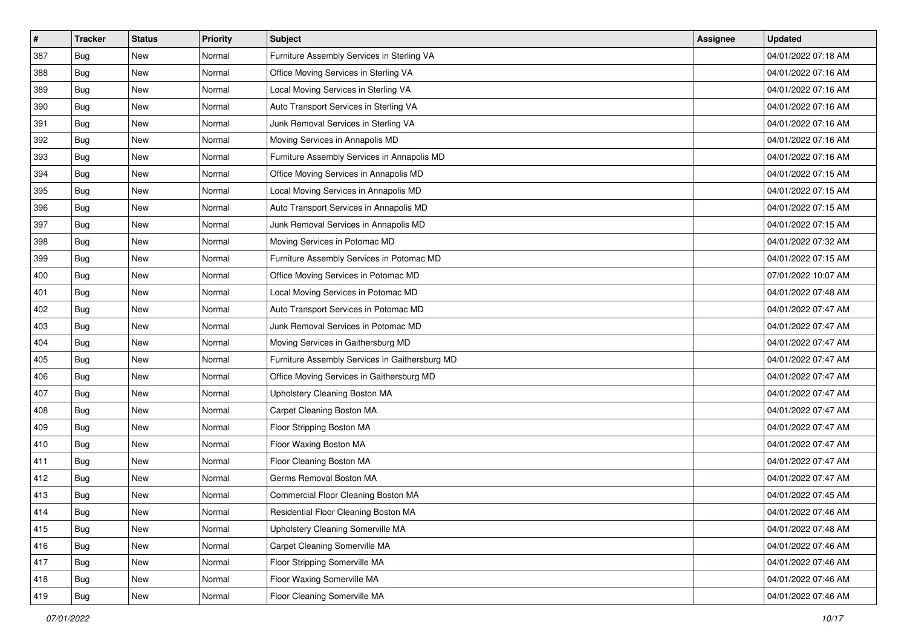| $\#$ | <b>Tracker</b> | <b>Status</b> | <b>Priority</b> | Subject                                        | Assignee | <b>Updated</b>      |
|------|----------------|---------------|-----------------|------------------------------------------------|----------|---------------------|
| 387  | Bug            | New           | Normal          | Furniture Assembly Services in Sterling VA     |          | 04/01/2022 07:18 AM |
| 388  | Bug            | New           | Normal          | Office Moving Services in Sterling VA          |          | 04/01/2022 07:16 AM |
| 389  | Bug            | New           | Normal          | Local Moving Services in Sterling VA           |          | 04/01/2022 07:16 AM |
| 390  | Bug            | New           | Normal          | Auto Transport Services in Sterling VA         |          | 04/01/2022 07:16 AM |
| 391  | <b>Bug</b>     | New           | Normal          | Junk Removal Services in Sterling VA           |          | 04/01/2022 07:16 AM |
| 392  | Bug            | New           | Normal          | Moving Services in Annapolis MD                |          | 04/01/2022 07:16 AM |
| 393  | Bug            | New           | Normal          | Furniture Assembly Services in Annapolis MD    |          | 04/01/2022 07:16 AM |
| 394  | Bug            | New           | Normal          | Office Moving Services in Annapolis MD         |          | 04/01/2022 07:15 AM |
| 395  | Bug            | New           | Normal          | Local Moving Services in Annapolis MD          |          | 04/01/2022 07:15 AM |
| 396  | Bug            | New           | Normal          | Auto Transport Services in Annapolis MD        |          | 04/01/2022 07:15 AM |
| 397  | Bug            | New           | Normal          | Junk Removal Services in Annapolis MD          |          | 04/01/2022 07:15 AM |
| 398  | Bug            | New           | Normal          | Moving Services in Potomac MD                  |          | 04/01/2022 07:32 AM |
| 399  | Bug            | New           | Normal          | Furniture Assembly Services in Potomac MD      |          | 04/01/2022 07:15 AM |
| 400  | Bug            | <b>New</b>    | Normal          | Office Moving Services in Potomac MD           |          | 07/01/2022 10:07 AM |
| 401  | <b>Bug</b>     | New           | Normal          | Local Moving Services in Potomac MD            |          | 04/01/2022 07:48 AM |
| 402  | Bug            | New           | Normal          | Auto Transport Services in Potomac MD          |          | 04/01/2022 07:47 AM |
| 403  | Bug            | New           | Normal          | Junk Removal Services in Potomac MD            |          | 04/01/2022 07:47 AM |
| 404  | <b>Bug</b>     | New           | Normal          | Moving Services in Gaithersburg MD             |          | 04/01/2022 07:47 AM |
| 405  | Bug            | New           | Normal          | Furniture Assembly Services in Gaithersburg MD |          | 04/01/2022 07:47 AM |
| 406  | Bug            | New           | Normal          | Office Moving Services in Gaithersburg MD      |          | 04/01/2022 07:47 AM |
| 407  | Bug            | New           | Normal          | Upholstery Cleaning Boston MA                  |          | 04/01/2022 07:47 AM |
| 408  | Bug            | New           | Normal          | Carpet Cleaning Boston MA                      |          | 04/01/2022 07:47 AM |
| 409  | <b>Bug</b>     | New           | Normal          | Floor Stripping Boston MA                      |          | 04/01/2022 07:47 AM |
| 410  | Bug            | New           | Normal          | Floor Waxing Boston MA                         |          | 04/01/2022 07:47 AM |
| 411  | Bug            | New           | Normal          | Floor Cleaning Boston MA                       |          | 04/01/2022 07:47 AM |
| 412  | Bug            | New           | Normal          | Germs Removal Boston MA                        |          | 04/01/2022 07:47 AM |
| 413  | <b>Bug</b>     | New           | Normal          | Commercial Floor Cleaning Boston MA            |          | 04/01/2022 07:45 AM |
| 414  | <b>Bug</b>     | New           | Normal          | Residential Floor Cleaning Boston MA           |          | 04/01/2022 07:46 AM |
| 415  | Bug            | New           | Normal          | Upholstery Cleaning Somerville MA              |          | 04/01/2022 07:48 AM |
| 416  | <b>Bug</b>     | New           | Normal          | Carpet Cleaning Somerville MA                  |          | 04/01/2022 07:46 AM |
| 417  | Bug            | New           | Normal          | Floor Stripping Somerville MA                  |          | 04/01/2022 07:46 AM |
| 418  | <b>Bug</b>     | New           | Normal          | Floor Waxing Somerville MA                     |          | 04/01/2022 07:46 AM |
| 419  | <b>Bug</b>     | New           | Normal          | Floor Cleaning Somerville MA                   |          | 04/01/2022 07:46 AM |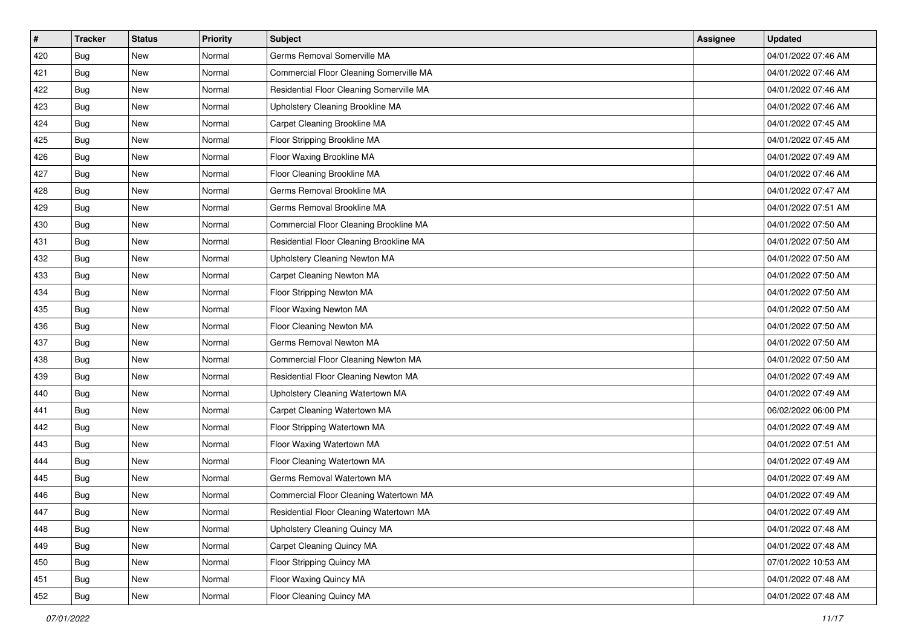| #   | <b>Tracker</b> | <b>Status</b> | <b>Priority</b> | <b>Subject</b>                           | <b>Assignee</b> | <b>Updated</b>      |
|-----|----------------|---------------|-----------------|------------------------------------------|-----------------|---------------------|
| 420 | <b>Bug</b>     | New           | Normal          | Germs Removal Somerville MA              |                 | 04/01/2022 07:46 AM |
| 421 | <b>Bug</b>     | New           | Normal          | Commercial Floor Cleaning Somerville MA  |                 | 04/01/2022 07:46 AM |
| 422 | Bug            | New           | Normal          | Residential Floor Cleaning Somerville MA |                 | 04/01/2022 07:46 AM |
| 423 | Bug            | New           | Normal          | Upholstery Cleaning Brookline MA         |                 | 04/01/2022 07:46 AM |
| 424 | <b>Bug</b>     | New           | Normal          | Carpet Cleaning Brookline MA             |                 | 04/01/2022 07:45 AM |
| 425 | <b>Bug</b>     | New           | Normal          | Floor Stripping Brookline MA             |                 | 04/01/2022 07:45 AM |
| 426 | Bug            | New           | Normal          | Floor Waxing Brookline MA                |                 | 04/01/2022 07:49 AM |
| 427 | <b>Bug</b>     | New           | Normal          | Floor Cleaning Brookline MA              |                 | 04/01/2022 07:46 AM |
| 428 | Bug            | New           | Normal          | Germs Removal Brookline MA               |                 | 04/01/2022 07:47 AM |
| 429 | <b>Bug</b>     | New           | Normal          | Germs Removal Brookline MA               |                 | 04/01/2022 07:51 AM |
| 430 | <b>Bug</b>     | New           | Normal          | Commercial Floor Cleaning Brookline MA   |                 | 04/01/2022 07:50 AM |
| 431 | Bug            | New           | Normal          | Residential Floor Cleaning Brookline MA  |                 | 04/01/2022 07:50 AM |
| 432 | <b>Bug</b>     | New           | Normal          | Upholstery Cleaning Newton MA            |                 | 04/01/2022 07:50 AM |
| 433 | Bug            | New           | Normal          | Carpet Cleaning Newton MA                |                 | 04/01/2022 07:50 AM |
| 434 | Bug            | New           | Normal          | Floor Stripping Newton MA                |                 | 04/01/2022 07:50 AM |
| 435 | Bug            | New           | Normal          | Floor Waxing Newton MA                   |                 | 04/01/2022 07:50 AM |
| 436 | Bug            | New           | Normal          | Floor Cleaning Newton MA                 |                 | 04/01/2022 07:50 AM |
| 437 | <b>Bug</b>     | New           | Normal          | Germs Removal Newton MA                  |                 | 04/01/2022 07:50 AM |
| 438 | <b>Bug</b>     | New           | Normal          | Commercial Floor Cleaning Newton MA      |                 | 04/01/2022 07:50 AM |
| 439 | <b>Bug</b>     | New           | Normal          | Residential Floor Cleaning Newton MA     |                 | 04/01/2022 07:49 AM |
| 440 | <b>Bug</b>     | New           | Normal          | Upholstery Cleaning Watertown MA         |                 | 04/01/2022 07:49 AM |
| 441 | Bug            | New           | Normal          | Carpet Cleaning Watertown MA             |                 | 06/02/2022 06:00 PM |
| 442 | <b>Bug</b>     | New           | Normal          | Floor Stripping Watertown MA             |                 | 04/01/2022 07:49 AM |
| 443 | <b>Bug</b>     | New           | Normal          | Floor Waxing Watertown MA                |                 | 04/01/2022 07:51 AM |
| 444 | <b>Bug</b>     | New           | Normal          | Floor Cleaning Watertown MA              |                 | 04/01/2022 07:49 AM |
| 445 | Bug            | New           | Normal          | Germs Removal Watertown MA               |                 | 04/01/2022 07:49 AM |
| 446 | <b>Bug</b>     | New           | Normal          | Commercial Floor Cleaning Watertown MA   |                 | 04/01/2022 07:49 AM |
| 447 | <b>Bug</b>     | New           | Normal          | Residential Floor Cleaning Watertown MA  |                 | 04/01/2022 07:49 AM |
| 448 | <b>Bug</b>     | New           | Normal          | Upholstery Cleaning Quincy MA            |                 | 04/01/2022 07:48 AM |
| 449 | <b>Bug</b>     | New           | Normal          | Carpet Cleaning Quincy MA                |                 | 04/01/2022 07:48 AM |
| 450 | <b>Bug</b>     | New           | Normal          | Floor Stripping Quincy MA                |                 | 07/01/2022 10:53 AM |
| 451 | <b>Bug</b>     | New           | Normal          | Floor Waxing Quincy MA                   |                 | 04/01/2022 07:48 AM |
| 452 | <b>Bug</b>     | New           | Normal          | Floor Cleaning Quincy MA                 |                 | 04/01/2022 07:48 AM |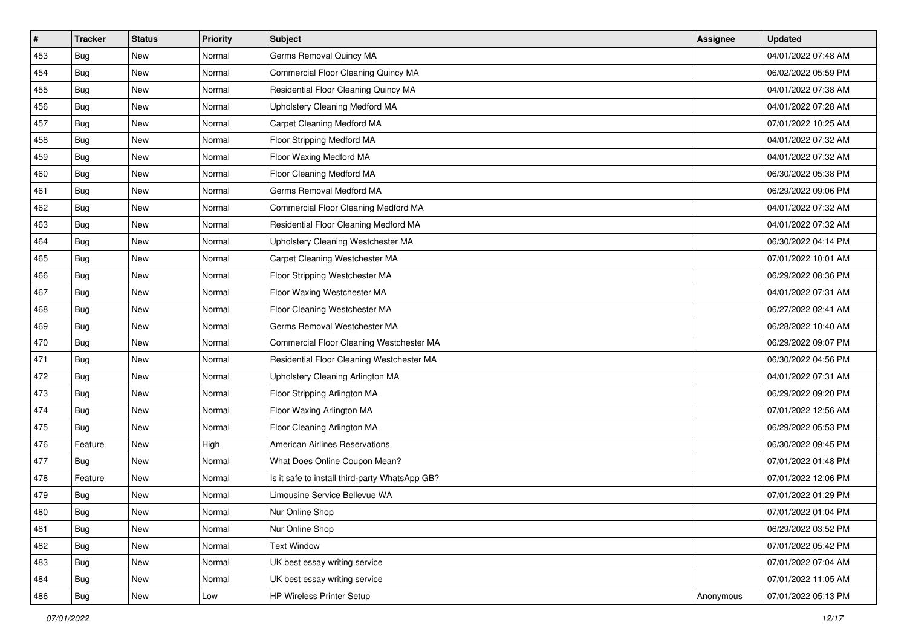| #   | <b>Tracker</b> | <b>Status</b> | <b>Priority</b> | Subject                                        | <b>Assignee</b> | <b>Updated</b>      |
|-----|----------------|---------------|-----------------|------------------------------------------------|-----------------|---------------------|
| 453 | Bug            | New           | Normal          | Germs Removal Quincy MA                        |                 | 04/01/2022 07:48 AM |
| 454 | <b>Bug</b>     | New           | Normal          | Commercial Floor Cleaning Quincy MA            |                 | 06/02/2022 05:59 PM |
| 455 | Bug            | New           | Normal          | Residential Floor Cleaning Quincy MA           |                 | 04/01/2022 07:38 AM |
| 456 | Bug            | New           | Normal          | Upholstery Cleaning Medford MA                 |                 | 04/01/2022 07:28 AM |
| 457 | <b>Bug</b>     | New           | Normal          | Carpet Cleaning Medford MA                     |                 | 07/01/2022 10:25 AM |
| 458 | Bug            | New           | Normal          | Floor Stripping Medford MA                     |                 | 04/01/2022 07:32 AM |
| 459 | <b>Bug</b>     | New           | Normal          | Floor Waxing Medford MA                        |                 | 04/01/2022 07:32 AM |
| 460 | Bug            | New           | Normal          | Floor Cleaning Medford MA                      |                 | 06/30/2022 05:38 PM |
| 461 | Bug            | New           | Normal          | Germs Removal Medford MA                       |                 | 06/29/2022 09:06 PM |
| 462 | <b>Bug</b>     | New           | Normal          | Commercial Floor Cleaning Medford MA           |                 | 04/01/2022 07:32 AM |
| 463 | <b>Bug</b>     | New           | Normal          | Residential Floor Cleaning Medford MA          |                 | 04/01/2022 07:32 AM |
| 464 | Bug            | New           | Normal          | Upholstery Cleaning Westchester MA             |                 | 06/30/2022 04:14 PM |
| 465 | Bug            | New           | Normal          | Carpet Cleaning Westchester MA                 |                 | 07/01/2022 10:01 AM |
| 466 | <b>Bug</b>     | New           | Normal          | Floor Stripping Westchester MA                 |                 | 06/29/2022 08:36 PM |
| 467 | <b>Bug</b>     | New           | Normal          | Floor Waxing Westchester MA                    |                 | 04/01/2022 07:31 AM |
| 468 | Bug            | New           | Normal          | Floor Cleaning Westchester MA                  |                 | 06/27/2022 02:41 AM |
| 469 | Bug            | New           | Normal          | Germs Removal Westchester MA                   |                 | 06/28/2022 10:40 AM |
| 470 | <b>Bug</b>     | New           | Normal          | Commercial Floor Cleaning Westchester MA       |                 | 06/29/2022 09:07 PM |
| 471 | Bug            | New           | Normal          | Residential Floor Cleaning Westchester MA      |                 | 06/30/2022 04:56 PM |
| 472 | <b>Bug</b>     | New           | Normal          | Upholstery Cleaning Arlington MA               |                 | 04/01/2022 07:31 AM |
| 473 | Bug            | New           | Normal          | Floor Stripping Arlington MA                   |                 | 06/29/2022 09:20 PM |
| 474 | Bug            | New           | Normal          | Floor Waxing Arlington MA                      |                 | 07/01/2022 12:56 AM |
| 475 | Bug            | New           | Normal          | Floor Cleaning Arlington MA                    |                 | 06/29/2022 05:53 PM |
| 476 | Feature        | New           | High            | <b>American Airlines Reservations</b>          |                 | 06/30/2022 09:45 PM |
| 477 | Bug            | New           | Normal          | What Does Online Coupon Mean?                  |                 | 07/01/2022 01:48 PM |
| 478 | Feature        | New           | Normal          | Is it safe to install third-party WhatsApp GB? |                 | 07/01/2022 12:06 PM |
| 479 | Bug            | New           | Normal          | Limousine Service Bellevue WA                  |                 | 07/01/2022 01:29 PM |
| 480 | <b>Bug</b>     | New           | Normal          | Nur Online Shop                                |                 | 07/01/2022 01:04 PM |
| 481 | Bug            | New           | Normal          | Nur Online Shop                                |                 | 06/29/2022 03:52 PM |
| 482 | Bug            | New           | Normal          | <b>Text Window</b>                             |                 | 07/01/2022 05:42 PM |
| 483 | Bug            | New           | Normal          | UK best essay writing service                  |                 | 07/01/2022 07:04 AM |
| 484 | Bug            | New           | Normal          | UK best essay writing service                  |                 | 07/01/2022 11:05 AM |
| 486 | <b>Bug</b>     | New           | Low             | <b>HP Wireless Printer Setup</b>               | Anonymous       | 07/01/2022 05:13 PM |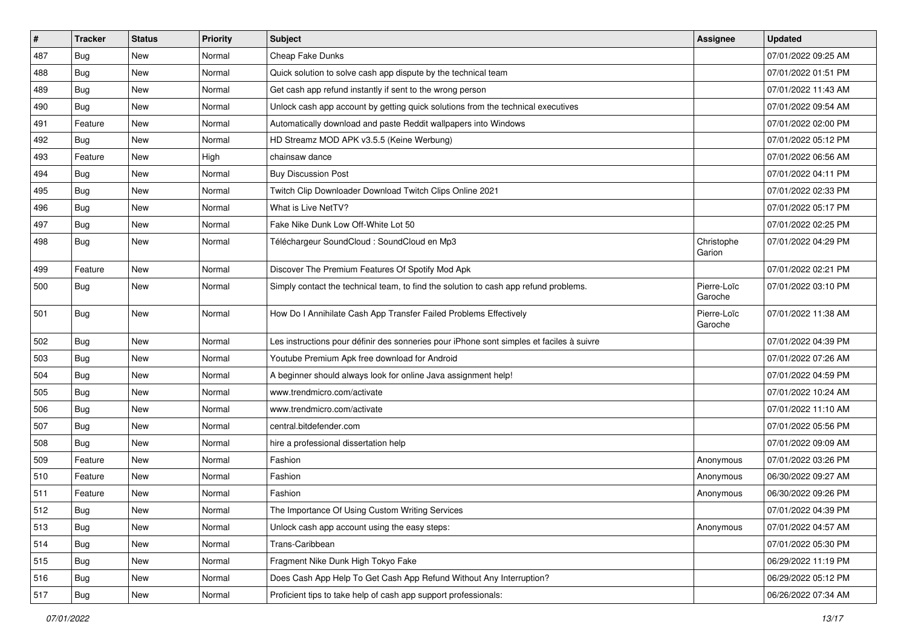| #   | <b>Tracker</b> | <b>Status</b> | <b>Priority</b> | <b>Subject</b>                                                                           | <b>Assignee</b>        | <b>Updated</b>      |
|-----|----------------|---------------|-----------------|------------------------------------------------------------------------------------------|------------------------|---------------------|
| 487 | <b>Bug</b>     | New           | Normal          | Cheap Fake Dunks                                                                         |                        | 07/01/2022 09:25 AM |
| 488 | Bug            | New           | Normal          | Quick solution to solve cash app dispute by the technical team                           |                        | 07/01/2022 01:51 PM |
| 489 | Bug            | New           | Normal          | Get cash app refund instantly if sent to the wrong person                                |                        | 07/01/2022 11:43 AM |
| 490 | Bug            | <b>New</b>    | Normal          | Unlock cash app account by getting quick solutions from the technical executives         |                        | 07/01/2022 09:54 AM |
| 491 | Feature        | <b>New</b>    | Normal          | Automatically download and paste Reddit wallpapers into Windows                          |                        | 07/01/2022 02:00 PM |
| 492 | Bug            | New           | Normal          | HD Streamz MOD APK v3.5.5 (Keine Werbung)                                                |                        | 07/01/2022 05:12 PM |
| 493 | Feature        | New           | High            | chainsaw dance                                                                           |                        | 07/01/2022 06:56 AM |
| 494 | Bug            | New           | Normal          | <b>Buy Discussion Post</b>                                                               |                        | 07/01/2022 04:11 PM |
| 495 | Bug            | <b>New</b>    | Normal          | Twitch Clip Downloader Download Twitch Clips Online 2021                                 |                        | 07/01/2022 02:33 PM |
| 496 | <b>Bug</b>     | New           | Normal          | What is Live NetTV?                                                                      |                        | 07/01/2022 05:17 PM |
| 497 | Bug            | <b>New</b>    | Normal          | Fake Nike Dunk Low Off-White Lot 50                                                      |                        | 07/01/2022 02:25 PM |
| 498 | Bug            | New           | Normal          | Téléchargeur SoundCloud : SoundCloud en Mp3                                              | Christophe<br>Garion   | 07/01/2022 04:29 PM |
| 499 | Feature        | New           | Normal          | Discover The Premium Features Of Spotify Mod Apk                                         |                        | 07/01/2022 02:21 PM |
| 500 | <b>Bug</b>     | New           | Normal          | Simply contact the technical team, to find the solution to cash app refund problems.     | Pierre-Loïc<br>Garoche | 07/01/2022 03:10 PM |
| 501 | <b>Bug</b>     | <b>New</b>    | Normal          | How Do I Annihilate Cash App Transfer Failed Problems Effectively                        | Pierre-Loïc<br>Garoche | 07/01/2022 11:38 AM |
| 502 | Bug            | <b>New</b>    | Normal          | Les instructions pour définir des sonneries pour iPhone sont simples et faciles à suivre |                        | 07/01/2022 04:39 PM |
| 503 | Bug            | New           | Normal          | Youtube Premium Apk free download for Android                                            |                        | 07/01/2022 07:26 AM |
| 504 | <b>Bug</b>     | <b>New</b>    | Normal          | A beginner should always look for online Java assignment help!                           |                        | 07/01/2022 04:59 PM |
| 505 | Bug            | <b>New</b>    | Normal          | www.trendmicro.com/activate                                                              |                        | 07/01/2022 10:24 AM |
| 506 | Bug            | New           | Normal          | www.trendmicro.com/activate                                                              |                        | 07/01/2022 11:10 AM |
| 507 | Bug            | New           | Normal          | central.bitdefender.com                                                                  |                        | 07/01/2022 05:56 PM |
| 508 | Bug            | <b>New</b>    | Normal          | hire a professional dissertation help                                                    |                        | 07/01/2022 09:09 AM |
| 509 | Feature        | <b>New</b>    | Normal          | Fashion                                                                                  | Anonymous              | 07/01/2022 03:26 PM |
| 510 | Feature        | New           | Normal          | Fashion                                                                                  | Anonymous              | 06/30/2022 09:27 AM |
| 511 | Feature        | New           | Normal          | Fashion                                                                                  | Anonymous              | 06/30/2022 09:26 PM |
| 512 | Bug            | New           | Normal          | The Importance Of Using Custom Writing Services                                          |                        | 07/01/2022 04:39 PM |
| 513 | Bug            | New           | Normal          | Unlock cash app account using the easy steps:                                            | Anonymous              | 07/01/2022 04:57 AM |
| 514 | Bug            | New           | Normal          | Trans-Caribbean                                                                          |                        | 07/01/2022 05:30 PM |
| 515 | Bug            | New           | Normal          | Fragment Nike Dunk High Tokyo Fake                                                       |                        | 06/29/2022 11:19 PM |
| 516 | Bug            | New           | Normal          | Does Cash App Help To Get Cash App Refund Without Any Interruption?                      |                        | 06/29/2022 05:12 PM |
| 517 | <b>Bug</b>     | New           | Normal          | Proficient tips to take help of cash app support professionals:                          |                        | 06/26/2022 07:34 AM |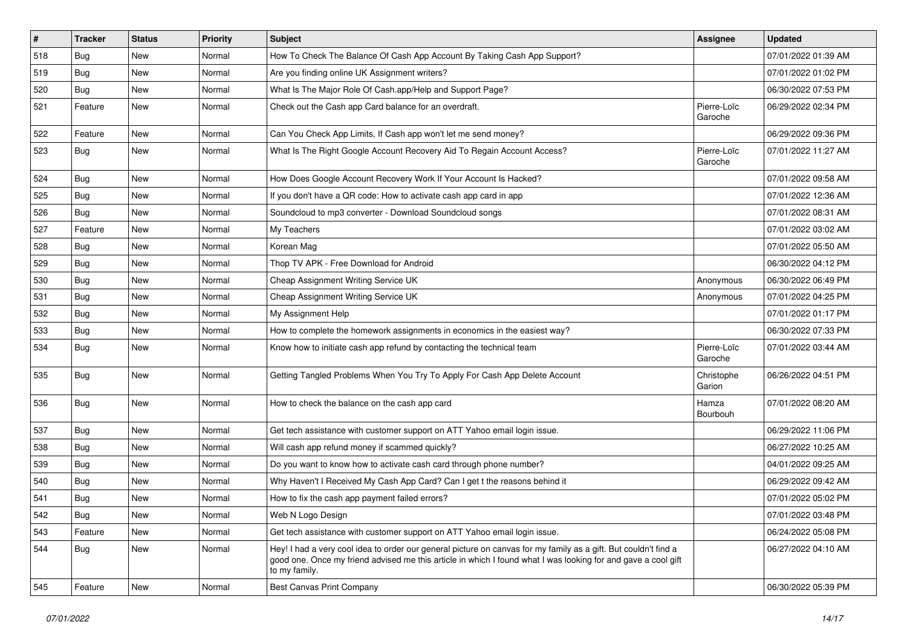| $\sharp$ | <b>Tracker</b> | <b>Status</b> | <b>Priority</b> | Subject                                                                                                                                                                                                                                           | <b>Assignee</b>        | <b>Updated</b>      |
|----------|----------------|---------------|-----------------|---------------------------------------------------------------------------------------------------------------------------------------------------------------------------------------------------------------------------------------------------|------------------------|---------------------|
| 518      | <b>Bug</b>     | New           | Normal          | How To Check The Balance Of Cash App Account By Taking Cash App Support?                                                                                                                                                                          |                        | 07/01/2022 01:39 AM |
| 519      | <b>Bug</b>     | New           | Normal          | Are you finding online UK Assignment writers?                                                                                                                                                                                                     |                        | 07/01/2022 01:02 PM |
| 520      | <b>Bug</b>     | New           | Normal          | What Is The Major Role Of Cash.app/Help and Support Page?                                                                                                                                                                                         |                        | 06/30/2022 07:53 PM |
| 521      | Feature        | New           | Normal          | Check out the Cash app Card balance for an overdraft.                                                                                                                                                                                             | Pierre-Loïc<br>Garoche | 06/29/2022 02:34 PM |
| 522      | Feature        | <b>New</b>    | Normal          | Can You Check App Limits, If Cash app won't let me send money?                                                                                                                                                                                    |                        | 06/29/2022 09:36 PM |
| 523      | <b>Bug</b>     | New           | Normal          | What Is The Right Google Account Recovery Aid To Regain Account Access?                                                                                                                                                                           | Pierre-Loïc<br>Garoche | 07/01/2022 11:27 AM |
| 524      | <b>Bug</b>     | <b>New</b>    | Normal          | How Does Google Account Recovery Work If Your Account Is Hacked?                                                                                                                                                                                  |                        | 07/01/2022 09:58 AM |
| 525      | <b>Bug</b>     | New           | Normal          | If you don't have a QR code: How to activate cash app card in app                                                                                                                                                                                 |                        | 07/01/2022 12:36 AM |
| 526      | <b>Bug</b>     | New           | Normal          | Soundcloud to mp3 converter - Download Soundcloud songs                                                                                                                                                                                           |                        | 07/01/2022 08:31 AM |
| 527      | Feature        | New           | Normal          | My Teachers                                                                                                                                                                                                                                       |                        | 07/01/2022 03:02 AM |
| 528      | <b>Bug</b>     | New           | Normal          | Korean Mag                                                                                                                                                                                                                                        |                        | 07/01/2022 05:50 AM |
| 529      | <b>Bug</b>     | New           | Normal          | Thop TV APK - Free Download for Android                                                                                                                                                                                                           |                        | 06/30/2022 04:12 PM |
| 530      | <b>Bug</b>     | New           | Normal          | Cheap Assignment Writing Service UK                                                                                                                                                                                                               | Anonymous              | 06/30/2022 06:49 PM |
| 531      | <b>Bug</b>     | New           | Normal          | Cheap Assignment Writing Service UK                                                                                                                                                                                                               | Anonymous              | 07/01/2022 04:25 PM |
| 532      | <b>Bug</b>     | New           | Normal          | My Assignment Help                                                                                                                                                                                                                                |                        | 07/01/2022 01:17 PM |
| 533      | Bug            | <b>New</b>    | Normal          | How to complete the homework assignments in economics in the easiest way?                                                                                                                                                                         |                        | 06/30/2022 07:33 PM |
| 534      | <b>Bug</b>     | New           | Normal          | Know how to initiate cash app refund by contacting the technical team                                                                                                                                                                             | Pierre-Loïc<br>Garoche | 07/01/2022 03:44 AM |
| 535      | <b>Bug</b>     | <b>New</b>    | Normal          | Getting Tangled Problems When You Try To Apply For Cash App Delete Account                                                                                                                                                                        | Christophe<br>Garion   | 06/26/2022 04:51 PM |
| 536      | <b>Bug</b>     | New           | Normal          | How to check the balance on the cash app card                                                                                                                                                                                                     | Hamza<br>Bourbouh      | 07/01/2022 08:20 AM |
| 537      | <b>Bug</b>     | <b>New</b>    | Normal          | Get tech assistance with customer support on ATT Yahoo email login issue.                                                                                                                                                                         |                        | 06/29/2022 11:06 PM |
| 538      | Bug            | New           | Normal          | Will cash app refund money if scammed quickly?                                                                                                                                                                                                    |                        | 06/27/2022 10:25 AM |
| 539      | <b>Bug</b>     | New           | Normal          | Do you want to know how to activate cash card through phone number?                                                                                                                                                                               |                        | 04/01/2022 09:25 AM |
| 540      | Bug            | New           | Normal          | Why Haven't I Received My Cash App Card? Can I get t the reasons behind it                                                                                                                                                                        |                        | 06/29/2022 09:42 AM |
| 541      | <b>Bug</b>     | New           | Normal          | How to fix the cash app payment failed errors?                                                                                                                                                                                                    |                        | 07/01/2022 05:02 PM |
| 542      | Bug            | New           | Normal          | Web N Logo Design                                                                                                                                                                                                                                 |                        | 07/01/2022 03:48 PM |
| 543      | Feature        | New           | Normal          | Get tech assistance with customer support on ATT Yahoo email login issue.                                                                                                                                                                         |                        | 06/24/2022 05:08 PM |
| 544      | Bug            | New           | Normal          | Hey! I had a very cool idea to order our general picture on canvas for my family as a gift. But couldn't find a<br>good one. Once my friend advised me this article in which I found what I was looking for and gave a cool gift<br>to my family. |                        | 06/27/2022 04:10 AM |
| 545      | Feature        | New           | Normal          | <b>Best Canvas Print Company</b>                                                                                                                                                                                                                  |                        | 06/30/2022 05:39 PM |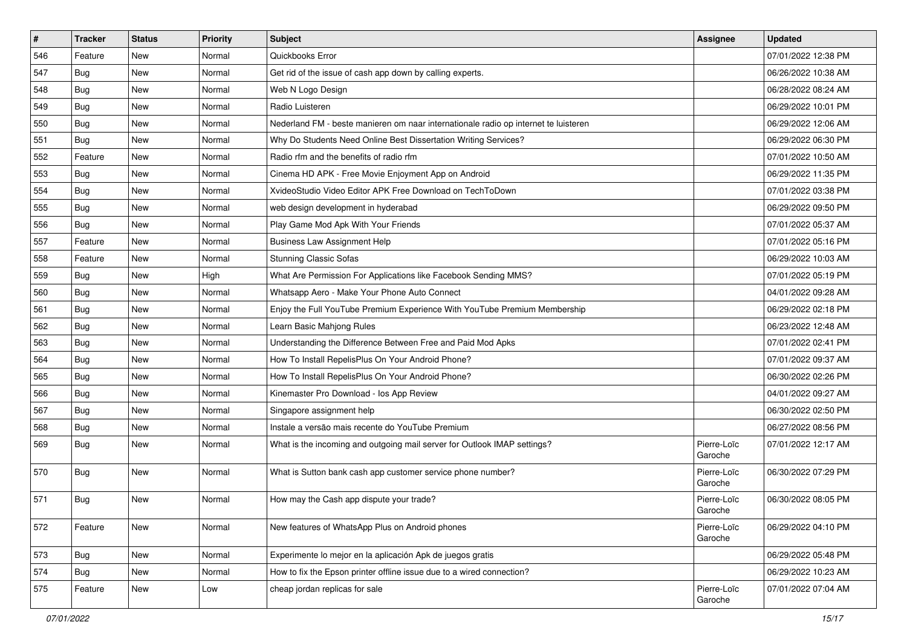| $\sharp$ | <b>Tracker</b> | <b>Status</b> | Priority | Subject                                                                             | Assignee               | <b>Updated</b>      |
|----------|----------------|---------------|----------|-------------------------------------------------------------------------------------|------------------------|---------------------|
| 546      | Feature        | New           | Normal   | Quickbooks Error                                                                    |                        | 07/01/2022 12:38 PM |
| 547      | <b>Bug</b>     | <b>New</b>    | Normal   | Get rid of the issue of cash app down by calling experts.                           |                        | 06/26/2022 10:38 AM |
| 548      | <b>Bug</b>     | New           | Normal   | Web N Logo Design                                                                   |                        | 06/28/2022 08:24 AM |
| 549      | <b>Bug</b>     | <b>New</b>    | Normal   | Radio Luisteren                                                                     |                        | 06/29/2022 10:01 PM |
| 550      | Bug            | <b>New</b>    | Normal   | Nederland FM - beste manieren om naar internationale radio op internet te luisteren |                        | 06/29/2022 12:06 AM |
| 551      | <b>Bug</b>     | <b>New</b>    | Normal   | Why Do Students Need Online Best Dissertation Writing Services?                     |                        | 06/29/2022 06:30 PM |
| 552      | Feature        | <b>New</b>    | Normal   | Radio rfm and the benefits of radio rfm                                             |                        | 07/01/2022 10:50 AM |
| 553      | <b>Bug</b>     | New           | Normal   | Cinema HD APK - Free Movie Enjoyment App on Android                                 |                        | 06/29/2022 11:35 PM |
| 554      | <b>Bug</b>     | New           | Normal   | XvideoStudio Video Editor APK Free Download on TechToDown                           |                        | 07/01/2022 03:38 PM |
| 555      | Bug            | <b>New</b>    | Normal   | web design development in hyderabad                                                 |                        | 06/29/2022 09:50 PM |
| 556      | <b>Bug</b>     | <b>New</b>    | Normal   | Play Game Mod Apk With Your Friends                                                 |                        | 07/01/2022 05:37 AM |
| 557      | Feature        | New           | Normal   | <b>Business Law Assignment Help</b>                                                 |                        | 07/01/2022 05:16 PM |
| 558      | Feature        | <b>New</b>    | Normal   | <b>Stunning Classic Sofas</b>                                                       |                        | 06/29/2022 10:03 AM |
| 559      | <b>Bug</b>     | <b>New</b>    | High     | What Are Permission For Applications like Facebook Sending MMS?                     |                        | 07/01/2022 05:19 PM |
| 560      | <b>Bug</b>     | <b>New</b>    | Normal   | Whatsapp Aero - Make Your Phone Auto Connect                                        |                        | 04/01/2022 09:28 AM |
| 561      | Bug            | New           | Normal   | Enjoy the Full YouTube Premium Experience With YouTube Premium Membership           |                        | 06/29/2022 02:18 PM |
| 562      | Bug            | <b>New</b>    | Normal   | Learn Basic Mahjong Rules                                                           |                        | 06/23/2022 12:48 AM |
| 563      | <b>Bug</b>     | <b>New</b>    | Normal   | Understanding the Difference Between Free and Paid Mod Apks                         |                        | 07/01/2022 02:41 PM |
| 564      | <b>Bug</b>     | New           | Normal   | How To Install RepelisPlus On Your Android Phone?                                   |                        | 07/01/2022 09:37 AM |
| 565      | <b>Bug</b>     | <b>New</b>    | Normal   | How To Install RepelisPlus On Your Android Phone?                                   |                        | 06/30/2022 02:26 PM |
| 566      | <b>Bug</b>     | New           | Normal   | Kinemaster Pro Download - los App Review                                            |                        | 04/01/2022 09:27 AM |
| 567      | <b>Bug</b>     | <b>New</b>    | Normal   | Singapore assignment help                                                           |                        | 06/30/2022 02:50 PM |
| 568      | Bug            | <b>New</b>    | Normal   | Instale a versão mais recente do YouTube Premium                                    |                        | 06/27/2022 08:56 PM |
| 569      | <b>Bug</b>     | New           | Normal   | What is the incoming and outgoing mail server for Outlook IMAP settings?            | Pierre-Loïc<br>Garoche | 07/01/2022 12:17 AM |
| 570      | <b>Bug</b>     | <b>New</b>    | Normal   | What is Sutton bank cash app customer service phone number?                         | Pierre-Loïc<br>Garoche | 06/30/2022 07:29 PM |
| 571      | <b>Bug</b>     | <b>New</b>    | Normal   | How may the Cash app dispute your trade?                                            | Pierre-Loïc<br>Garoche | 06/30/2022 08:05 PM |
| 572      | Feature        | New           | Normal   | New features of WhatsApp Plus on Android phones                                     | Pierre-Loïc<br>Garoche | 06/29/2022 04:10 PM |
| 573      | Bug            | New           | Normal   | Experimente lo mejor en la aplicación Apk de juegos gratis                          |                        | 06/29/2022 05:48 PM |
| 574      | <b>Bug</b>     | <b>New</b>    | Normal   | How to fix the Epson printer offline issue due to a wired connection?               |                        | 06/29/2022 10:23 AM |
| 575      | Feature        | New           | Low      | cheap jordan replicas for sale                                                      | Pierre-Loïc<br>Garoche | 07/01/2022 07:04 AM |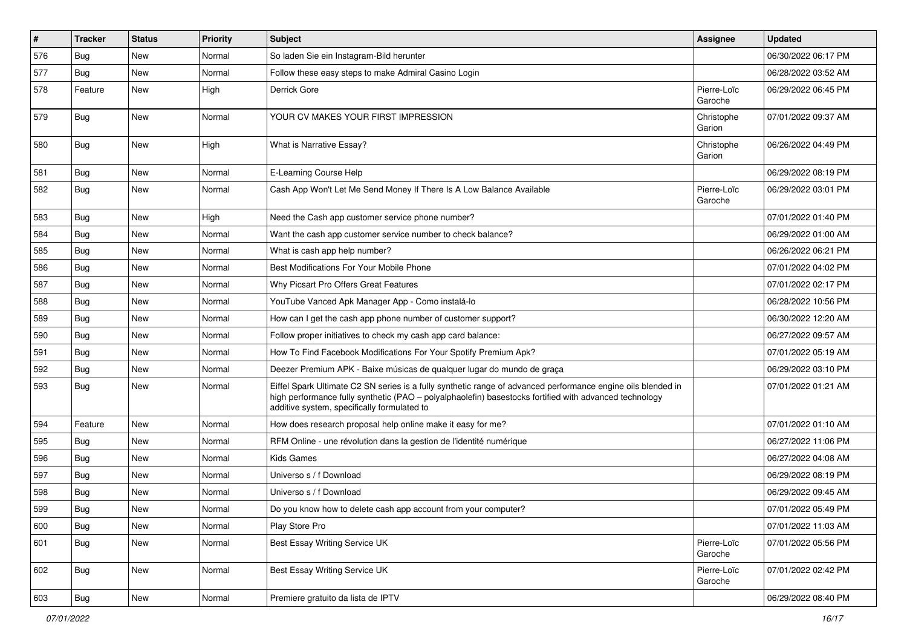| #   | <b>Tracker</b> | <b>Status</b> | <b>Priority</b> | <b>Subject</b>                                                                                                                                                                                                                                                        | <b>Assignee</b>        | <b>Updated</b>      |
|-----|----------------|---------------|-----------------|-----------------------------------------------------------------------------------------------------------------------------------------------------------------------------------------------------------------------------------------------------------------------|------------------------|---------------------|
| 576 | Bug            | New           | Normal          | So laden Sie ein Instagram-Bild herunter                                                                                                                                                                                                                              |                        | 06/30/2022 06:17 PM |
| 577 | Bug            | <b>New</b>    | Normal          | Follow these easy steps to make Admiral Casino Login                                                                                                                                                                                                                  |                        | 06/28/2022 03:52 AM |
| 578 | Feature        | New           | High            | Derrick Gore                                                                                                                                                                                                                                                          | Pierre-Loïc<br>Garoche | 06/29/2022 06:45 PM |
| 579 | <b>Bug</b>     | <b>New</b>    | Normal          | YOUR CV MAKES YOUR FIRST IMPRESSION                                                                                                                                                                                                                                   | Christophe<br>Garion   | 07/01/2022 09:37 AM |
| 580 | <b>Bug</b>     | New           | High            | What is Narrative Essay?                                                                                                                                                                                                                                              | Christophe<br>Garion   | 06/26/2022 04:49 PM |
| 581 | Bug            | New           | Normal          | E-Learning Course Help                                                                                                                                                                                                                                                |                        | 06/29/2022 08:19 PM |
| 582 | <b>Bug</b>     | New           | Normal          | Cash App Won't Let Me Send Money If There Is A Low Balance Available                                                                                                                                                                                                  | Pierre-Loïc<br>Garoche | 06/29/2022 03:01 PM |
| 583 | <b>Bug</b>     | New           | High            | Need the Cash app customer service phone number?                                                                                                                                                                                                                      |                        | 07/01/2022 01:40 PM |
| 584 | Bug            | New           | Normal          | Want the cash app customer service number to check balance?                                                                                                                                                                                                           |                        | 06/29/2022 01:00 AM |
| 585 | Bug            | New           | Normal          | What is cash app help number?                                                                                                                                                                                                                                         |                        | 06/26/2022 06:21 PM |
| 586 | <b>Bug</b>     | New           | Normal          | Best Modifications For Your Mobile Phone                                                                                                                                                                                                                              |                        | 07/01/2022 04:02 PM |
| 587 | Bug            | New           | Normal          | Why Picsart Pro Offers Great Features                                                                                                                                                                                                                                 |                        | 07/01/2022 02:17 PM |
| 588 | Bug            | New           | Normal          | YouTube Vanced Apk Manager App - Como instalá-lo                                                                                                                                                                                                                      |                        | 06/28/2022 10:56 PM |
| 589 | Bug            | New           | Normal          | How can I get the cash app phone number of customer support?                                                                                                                                                                                                          |                        | 06/30/2022 12:20 AM |
| 590 | Bug            | <b>New</b>    | Normal          | Follow proper initiatives to check my cash app card balance:                                                                                                                                                                                                          |                        | 06/27/2022 09:57 AM |
| 591 | <b>Bug</b>     | New           | Normal          | How To Find Facebook Modifications For Your Spotify Premium Apk?                                                                                                                                                                                                      |                        | 07/01/2022 05:19 AM |
| 592 | Bug            | New           | Normal          | Deezer Premium APK - Baixe músicas de qualquer lugar do mundo de graça                                                                                                                                                                                                |                        | 06/29/2022 03:10 PM |
| 593 | Bug            | New           | Normal          | Eiffel Spark Ultimate C2 SN series is a fully synthetic range of advanced performance engine oils blended in<br>high performance fully synthetic (PAO - polyalphaolefin) basestocks fortified with advanced technology<br>additive system, specifically formulated to |                        | 07/01/2022 01:21 AM |
| 594 | Feature        | New           | Normal          | How does research proposal help online make it easy for me?                                                                                                                                                                                                           |                        | 07/01/2022 01:10 AM |
| 595 | Bug            | New           | Normal          | RFM Online - une révolution dans la gestion de l'identité numérique                                                                                                                                                                                                   |                        | 06/27/2022 11:06 PM |
| 596 | Bug            | New           | Normal          | <b>Kids Games</b>                                                                                                                                                                                                                                                     |                        | 06/27/2022 04:08 AM |
| 597 | Bug            | New           | Normal          | Universo s / f Download                                                                                                                                                                                                                                               |                        | 06/29/2022 08:19 PM |
| 598 | Bug            | New           | Normal          | Universo s / f Download                                                                                                                                                                                                                                               |                        | 06/29/2022 09:45 AM |
| 599 | I Bug          | New           | Normal          | Do you know how to delete cash app account from your computer?                                                                                                                                                                                                        |                        | 07/01/2022 05:49 PM |
| 600 | <b>Bug</b>     | New           | Normal          | Play Store Pro                                                                                                                                                                                                                                                        |                        | 07/01/2022 11:03 AM |
| 601 | <b>Bug</b>     | New           | Normal          | Best Essay Writing Service UK                                                                                                                                                                                                                                         | Pierre-Loïc<br>Garoche | 07/01/2022 05:56 PM |
| 602 | <b>Bug</b>     | New           | Normal          | Best Essay Writing Service UK                                                                                                                                                                                                                                         | Pierre-Loïc<br>Garoche | 07/01/2022 02:42 PM |
| 603 | <b>Bug</b>     | New           | Normal          | Premiere gratuito da lista de IPTV                                                                                                                                                                                                                                    |                        | 06/29/2022 08:40 PM |